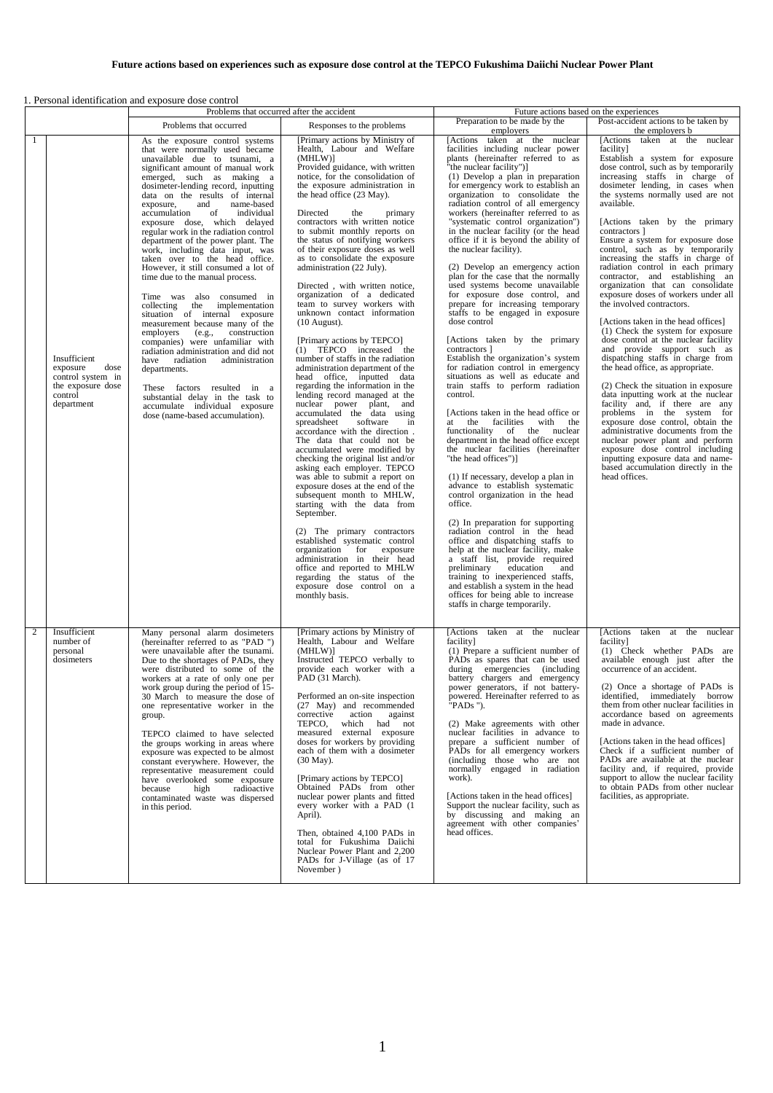## 1. Personal identification and exposure dose control

|    |                                                                                                     | Problems that occurred after the accident                                                                                                                                                                                                                                                                                                                                                                                                                                                                                                                                                                                                                                                                                                                                                                                                                                                                                                                                                                                           |                                                                                                                                                                                                                                                                                                                                                                                                                                                                                                                                                                                                                                                                                                                                                                                                                                                                                                                                                                                                                                                                                                                                                                                                                                                                                                                                                                                                                                                                                                       | Future actions based on the experiences                                                                                                                                                                                                                                                                                                                                                                                                                                                                                                                                                                                                                                                                                                                                                                                                                                                                                                                                                                                                                                                                                                                                                                                                                                                                                                                                                                                                                                                                                                                                                                                                                    |                                                                                                                                                                                                                                                                                                                                                                                                                                                                                                                                                                                                                                                                                                                                                                                                                                                                                                                                                                                                                                                                                                                                                                                                                      |
|----|-----------------------------------------------------------------------------------------------------|-------------------------------------------------------------------------------------------------------------------------------------------------------------------------------------------------------------------------------------------------------------------------------------------------------------------------------------------------------------------------------------------------------------------------------------------------------------------------------------------------------------------------------------------------------------------------------------------------------------------------------------------------------------------------------------------------------------------------------------------------------------------------------------------------------------------------------------------------------------------------------------------------------------------------------------------------------------------------------------------------------------------------------------|-------------------------------------------------------------------------------------------------------------------------------------------------------------------------------------------------------------------------------------------------------------------------------------------------------------------------------------------------------------------------------------------------------------------------------------------------------------------------------------------------------------------------------------------------------------------------------------------------------------------------------------------------------------------------------------------------------------------------------------------------------------------------------------------------------------------------------------------------------------------------------------------------------------------------------------------------------------------------------------------------------------------------------------------------------------------------------------------------------------------------------------------------------------------------------------------------------------------------------------------------------------------------------------------------------------------------------------------------------------------------------------------------------------------------------------------------------------------------------------------------------|------------------------------------------------------------------------------------------------------------------------------------------------------------------------------------------------------------------------------------------------------------------------------------------------------------------------------------------------------------------------------------------------------------------------------------------------------------------------------------------------------------------------------------------------------------------------------------------------------------------------------------------------------------------------------------------------------------------------------------------------------------------------------------------------------------------------------------------------------------------------------------------------------------------------------------------------------------------------------------------------------------------------------------------------------------------------------------------------------------------------------------------------------------------------------------------------------------------------------------------------------------------------------------------------------------------------------------------------------------------------------------------------------------------------------------------------------------------------------------------------------------------------------------------------------------------------------------------------------------------------------------------------------------|----------------------------------------------------------------------------------------------------------------------------------------------------------------------------------------------------------------------------------------------------------------------------------------------------------------------------------------------------------------------------------------------------------------------------------------------------------------------------------------------------------------------------------------------------------------------------------------------------------------------------------------------------------------------------------------------------------------------------------------------------------------------------------------------------------------------------------------------------------------------------------------------------------------------------------------------------------------------------------------------------------------------------------------------------------------------------------------------------------------------------------------------------------------------------------------------------------------------|
|    |                                                                                                     | Problems that occurred                                                                                                                                                                                                                                                                                                                                                                                                                                                                                                                                                                                                                                                                                                                                                                                                                                                                                                                                                                                                              | Responses to the problems                                                                                                                                                                                                                                                                                                                                                                                                                                                                                                                                                                                                                                                                                                                                                                                                                                                                                                                                                                                                                                                                                                                                                                                                                                                                                                                                                                                                                                                                             | Preparation to be made by the<br>employers                                                                                                                                                                                                                                                                                                                                                                                                                                                                                                                                                                                                                                                                                                                                                                                                                                                                                                                                                                                                                                                                                                                                                                                                                                                                                                                                                                                                                                                                                                                                                                                                                 | Post-accident actions to be taken by<br>the employers b                                                                                                                                                                                                                                                                                                                                                                                                                                                                                                                                                                                                                                                                                                                                                                                                                                                                                                                                                                                                                                                                                                                                                              |
| -1 | Insufficient<br>exposure<br>dose<br>control system in<br>the exposure dose<br>control<br>department | As the exposure control systems<br>that were normally used became<br>unavailable due to tsunami, a<br>significant amount of manual work<br>emerged, such as making a<br>dosimeter-lending record, inputting<br>data on the results of internal<br>and<br>name-based<br>exposure,<br>of<br>individual<br>accumulation<br>exposure dose, which delayed<br>regular work in the radiation control<br>department of the power plant. The<br>work, including data input, was<br>taken over to the head office.<br>However, it still consumed a lot of<br>time due to the manual process.<br>Time was also consumed in<br>collecting the implementation<br>situation of internal exposure<br>measurement because many of the<br>construction<br>employers<br>(e.g.,<br>companies) were unfamiliar with<br>radiation administration and did not<br>have radiation<br>administration<br>departments.<br>These factors resulted in a<br>substantial delay in the task to<br>accumulate individual exposure<br>dose (name-based accumulation). | [Primary actions by Ministry of<br>Health, Labour and Welfare<br>(MHLW)]<br>Provided guidance, with written<br>notice, for the consolidation of<br>the exposure administration in<br>the head office (23 May).<br>Directed<br>the<br>primary<br>contractors with written notice<br>to submit monthly reports on<br>the status of notifying workers<br>of their exposure doses as well<br>as to consolidate the exposure<br>administration (22 July).<br>Directed, with written notice,<br>organization of a dedicated<br>team to survey workers with<br>unknown contact information<br>$(10$ August).<br>[Primary actions by TEPCO]<br>(1) TEPCO increased the<br>number of staffs in the radiation<br>administration department of the<br>head office, inputted data<br>regarding the information in the<br>lending record managed at the<br>nuclear power plant, and<br>accumulated the data using<br>spreadsheet<br>software<br>in<br>accordance with the direction.<br>The data that could not be<br>accumulated were modified by<br>checking the original list and/or<br>asking each employer. TEPCO<br>was able to submit a report on<br>exposure doses at the end of the<br>subsequent month to MHLW,<br>starting with the data from<br>September.<br>(2) The primary contractors<br>established systematic control<br>organization for exposure<br>administration in their head<br>office and reported to MHLW<br>regarding the status of the<br>exposure dose control on a<br>monthly basis. | [Actions taken at the nuclear<br>facilities including nuclear power<br>plants (hereinafter referred to as<br>"the nuclear facility")]<br>(1) Develop a plan in preparation<br>for emergency work to establish an<br>organization to consolidate the<br>radiation control of all emergency<br>workers (hereinafter referred to as<br>"systematic control organization")<br>in the nuclear facility (or the head<br>office if it is beyond the ability of<br>the nuclear facility).<br>(2) Develop an emergency action<br>plan for the case that the normally<br>used systems become unavailable<br>for exposure dose control, and<br>prepare for increasing temporary<br>staffs to be engaged in exposure<br>dose control<br>[Actions taken by the primary<br>contractors ]<br>Establish the organization's system<br>for radiation control in emergency<br>situations as well as educate and<br>train staffs to perform radiation<br>control.<br>[Actions taken in the head office or<br>at the facilities with the<br>functionality of the nuclear<br>department in the head office except<br>the nuclear facilities (hereinafter<br>"the head offices")]<br>(1) If necessary, develop a plan in<br>advance to establish systematic<br>control organization in the head<br>office.<br>(2) In preparation for supporting<br>radiation control in the head<br>office and dispatching staffs to<br>help at the nuclear facility, make<br>a staff list, provide required<br>preliminary<br>education<br>and<br>training to inexperienced staffs,<br>and establish a system in the head<br>offices for being able to increase<br>staffs in charge temporarily. | [Actions taken at the nuclear<br>facility]<br>Establish a system for exposure<br>dose control, such as by temporarily<br>increasing staffs in charge of<br>dosimeter lending, in cases when<br>the systems normally used are not<br>available.<br>[Actions taken by the primary<br>contractors ]<br>Ensure a system for exposure dose<br>control, such as by temporarily<br>increasing the staffs in charge of<br>radiation control in each primary<br>contractor, and establishing an<br>organization that can consolidate<br>exposure doses of workers under all<br>the involved contractors.<br>[Actions taken in the head offices]<br>(1) Check the system for exposure<br>dose control at the nuclear facility<br>and provide support such as<br>dispatching staffs in charge from<br>the head office, as appropriate.<br>(2) Check the situation in exposure<br>data inputting work at the nuclear<br>facility and, if there are any<br>problems in the system for<br>exposure dose control, obtain the<br>administrative documents from the<br>nuclear power plant and perform<br>exposure dose control including<br>inputting exposure data and name-<br>based accumulation directly in the<br>head offices. |
| 2  | Insufficient<br>number of<br>personal<br>dosimeters                                                 | Many personal alarm dosimeters<br>(hereinafter referred to as "PAD")<br>were unavailable after the tsunami.<br>Due to the shortages of PADs, they<br>were distributed to some of the<br>workers at a rate of only one per<br>work group during the period of 15-<br>30 March to measure the dose of<br>one representative worker in the<br>group.<br>TEPCO claimed to have selected<br>the groups working in areas where<br>exposure was expected to be almost<br>constant everywhere. However, the<br>representative measurement could<br>have overlooked some exposure<br>because<br>high<br>radioactive<br>contaminated waste was dispersed<br>in this period.                                                                                                                                                                                                                                                                                                                                                                   | [Primary actions by Ministry of<br>Health, Labour and Welfare<br>(MHLW)<br>Instructed TEPCO verbally to<br>provide each worker with a<br>PAD (31 March).<br>Performed an on-site inspection<br>(27 May) and recommended<br>corrective<br>action<br>against<br>TEPCO, which had not<br>measured external exposure<br>doses for workers by providing<br>each of them with a dosimeter<br>$(30$ May).<br>[Primary actions by TEPCO]<br>Obtained PADs from other<br>nuclear power plants and fitted<br>every worker with a PAD (1<br>April).<br>Then, obtained 4,100 PADs in<br>total for Fukushima Daiichi<br>Nuclear Power Plant and 2,200<br>PADs for J-Village (as of 17<br>November)                                                                                                                                                                                                                                                                                                                                                                                                                                                                                                                                                                                                                                                                                                                                                                                                                 | [Actions taken at the nuclear<br>facility]<br>(1) Prepare a sufficient number of<br>PADs as spares that can be used<br>during emergencies (including<br>battery chargers and emergency<br>power generators, if not battery-<br>powered. Hereinafter referred to as<br>"PADs ").<br>(2) Make agreements with other<br>nuclear facilities in advance to<br>prepare a sufficient number of<br>PADs for all emergency workers<br>(including those who are not<br>normally engaged in radiation<br>work).<br>[Actions taken in the head offices]<br>Support the nuclear facility, such as<br>by discussing and making an<br>agreement with other companies'<br>head offices.                                                                                                                                                                                                                                                                                                                                                                                                                                                                                                                                                                                                                                                                                                                                                                                                                                                                                                                                                                                    | [Actions taken at the nuclear<br>facility]<br>(1) Check whether PADs are<br>available enough just after the<br>occurrence of an accident.<br>(2) Once a shortage of PADs is<br>identified, immediately borrow<br>them from other nuclear facilities in<br>accordance based on agreements<br>made in advance.<br>[Actions taken in the head offices]<br>Check if a sufficient number of<br>PADs are available at the nuclear<br>facility and, if required, provide<br>support to allow the nuclear facility<br>to obtain PADs from other nuclear<br>facilities, as appropriate.                                                                                                                                                                                                                                                                                                                                                                                                                                                                                                                                                                                                                                       |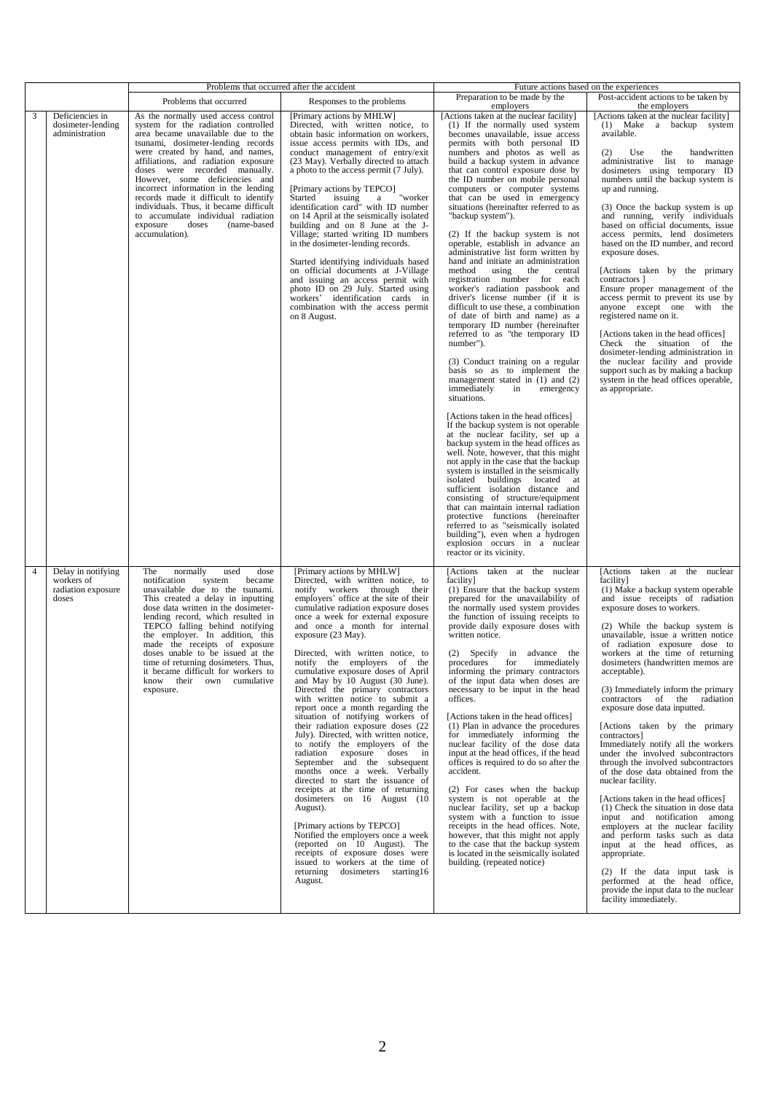|                |                                                                 | Problems that occurred after the accident                                                                                                                                                                                                                                                                                                                                                                                                                                                                                    |                                                                                                                                                                                                                                                                                                                                                                                                                                                                                                                                                                                                                                                                                                                                                                                                                                                                                                                                                                                                                                                                                                                                              | Future actions based on the experiences                                                                                                                                                                                                                                                                                                                                                                                                                                                                                                                                                                                                                                                                                                                                                                                                                                                                                                                                                                                                                                                                                                                                                                                                                                                                                                                                                                                                                                                                                                                                                                                                                                                |                                                                                                                                                                                                                                                                                                                                                                                                                                                                                                                                                                                                                                                                                                                                                                                                                                                                                                                                                                                                                                                                    |
|----------------|-----------------------------------------------------------------|------------------------------------------------------------------------------------------------------------------------------------------------------------------------------------------------------------------------------------------------------------------------------------------------------------------------------------------------------------------------------------------------------------------------------------------------------------------------------------------------------------------------------|----------------------------------------------------------------------------------------------------------------------------------------------------------------------------------------------------------------------------------------------------------------------------------------------------------------------------------------------------------------------------------------------------------------------------------------------------------------------------------------------------------------------------------------------------------------------------------------------------------------------------------------------------------------------------------------------------------------------------------------------------------------------------------------------------------------------------------------------------------------------------------------------------------------------------------------------------------------------------------------------------------------------------------------------------------------------------------------------------------------------------------------------|----------------------------------------------------------------------------------------------------------------------------------------------------------------------------------------------------------------------------------------------------------------------------------------------------------------------------------------------------------------------------------------------------------------------------------------------------------------------------------------------------------------------------------------------------------------------------------------------------------------------------------------------------------------------------------------------------------------------------------------------------------------------------------------------------------------------------------------------------------------------------------------------------------------------------------------------------------------------------------------------------------------------------------------------------------------------------------------------------------------------------------------------------------------------------------------------------------------------------------------------------------------------------------------------------------------------------------------------------------------------------------------------------------------------------------------------------------------------------------------------------------------------------------------------------------------------------------------------------------------------------------------------------------------------------------------|--------------------------------------------------------------------------------------------------------------------------------------------------------------------------------------------------------------------------------------------------------------------------------------------------------------------------------------------------------------------------------------------------------------------------------------------------------------------------------------------------------------------------------------------------------------------------------------------------------------------------------------------------------------------------------------------------------------------------------------------------------------------------------------------------------------------------------------------------------------------------------------------------------------------------------------------------------------------------------------------------------------------------------------------------------------------|
|                |                                                                 | Problems that occurred                                                                                                                                                                                                                                                                                                                                                                                                                                                                                                       | Responses to the problems                                                                                                                                                                                                                                                                                                                                                                                                                                                                                                                                                                                                                                                                                                                                                                                                                                                                                                                                                                                                                                                                                                                    | Preparation to be made by the<br>employers                                                                                                                                                                                                                                                                                                                                                                                                                                                                                                                                                                                                                                                                                                                                                                                                                                                                                                                                                                                                                                                                                                                                                                                                                                                                                                                                                                                                                                                                                                                                                                                                                                             | Post-accident actions to be taken by<br>the employers                                                                                                                                                                                                                                                                                                                                                                                                                                                                                                                                                                                                                                                                                                                                                                                                                                                                                                                                                                                                              |
| 3              | Deficiencies in<br>dosimeter-lending<br>administration          | As the normally used access control<br>system for the radiation controlled<br>area became unavailable due to the<br>tsunami, dosimeter-lending records<br>were created by hand, and names,<br>affiliations, and radiation exposure<br>doses were recorded manually.<br>However, some deficiencies and<br>incorrect information in the lending<br>records made it difficult to identify<br>individuals. Thus, it became difficult<br>to accumulate individual radiation<br>exposure<br>doses<br>(name-based<br>accumulation). | [Primary actions by MHLW]<br>Directed, with written notice, to<br>obtain basic information on workers,<br>issue access permits with IDs, and<br>conduct management of entry/exit<br>(23 May). Verbally directed to attach<br>a photo to the access permit (7 July).<br>[Primary actions by TEPCO]<br>Started issuing<br>"worker<br>a<br>identification card" with ID number<br>on 14 April at the seismically isolated<br>building and on 8 June at the J-<br>Village; started writing ID numbers<br>in the dosimeter-lending records.<br>Started identifying individuals based<br>on official documents at J-Village<br>and issuing an access permit with<br>photo ID on 29 July. Started using<br>workers' identification cards in<br>combination with the access permit<br>on 8 August.                                                                                                                                                                                                                                                                                                                                                   | [Actions taken at the nuclear facility]<br>(1) If the normally used system<br>becomes unavailable, issue access<br>permits with both personal ID<br>numbers and photos as well as<br>build a backup system in advance<br>that can control exposure dose by<br>the ID number on mobile personal<br>computers or computer systems<br>that can be used in emergency<br>situations (hereinafter referred to as<br>"backup system").<br>(2) If the backup system is not<br>operable, establish in advance an<br>administrative list form written by<br>hand and initiate an administration<br>using the<br>method<br>central<br>registration number for each<br>worker's radiation passbook and<br>driver's license number (if it is<br>difficult to use these, a combination<br>of date of birth and name) as a<br>temporary ID number (hereinafter<br>referred to as "the temporary ID<br>number").<br>(3) Conduct training on a regular<br>basis so as to implement the<br>management stated in $(1)$ and $(2)$<br>immediately<br>in<br>emergency<br>situations.<br>[Actions taken in the head offices]<br>If the backup system is not operable<br>at the nuclear facility, set up a<br>backup system in the head offices as<br>well. Note, however, that this might<br>not apply in the case that the backup<br>system is installed in the seismically<br>isolated buildings located at<br>sufficient isolation distance and<br>consisting of structure/equipment<br>that can maintain internal radiation<br>protective functions (hereinafter<br>referred to as "seismically isolated<br>building"), even when a hydrogen<br>explosion occurs in a nuclear<br>reactor or its vicinity. | [Actions taken at the nuclear facility]<br>(1) Make a backup system<br>available.<br>Use<br>handwritten<br>(2)<br>the<br>administrative list to manage<br>dosimeters using temporary ID<br>numbers until the backup system is<br>up and running.<br>(3) Once the backup system is up<br>and running, verify individuals<br>based on official documents, issue<br>access permits, lend dosimeters<br>based on the ID number, and record<br>exposure doses.<br>[Actions taken by the primary<br>contractors ]<br>Ensure proper management of the<br>access permit to prevent its use by<br>anyone except one with the<br>registered name on it.<br>[Actions taken in the head offices]<br>Check the situation of the<br>dosimeter-lending administration in<br>the nuclear facility and provide<br>support such as by making a backup<br>system in the head offices operable,<br>as appropriate.                                                                                                                                                                     |
| $\overline{4}$ | Delay in notifying<br>workers of<br>radiation exposure<br>doses | normally<br>dose<br>The<br>used<br>notification<br>system<br>became<br>unavailable due to the tsunami.<br>This created a delay in inputting<br>dose data written in the dosimeter-<br>lending record, which resulted in<br>TEPCO falling behind notifying<br>the employer. In addition, this<br>made the receipts of exposure<br>doses unable to be issued at the<br>time of returning dosimeters. Thus,<br>it became difficult for workers to<br>know their own cumulative<br>exposure.                                     | [Primary actions by MHLW]<br>Directed, with written notice, to<br>notify workers through their<br>employers' office at the site of their<br>cumulative radiation exposure doses<br>once a week for external exposure<br>and once a month for internal<br>exposure (23 May).<br>Directed, with written notice, to<br>notify the employers of the<br>cumulative exposure doses of April<br>and May by 10 August (30 June).<br>Directed the primary contractors<br>with written notice to submit a<br>report once a month regarding the<br>situation of notifying workers of<br>their radiation exposure doses (22<br>July). Directed, with written notice,<br>to notify the employers of the<br>radiation exposure doses in<br>September and the subsequent<br>months once a week. Verbally<br>directed to start the issuance of<br>receipts at the time of returning<br>dosimeters on $16$ August $(10)$<br>August).<br>[Primary actions by TEPCO]<br>Notified the employers once a week<br>(reported on 10 August). The<br>receipts of exposure doses were<br>issued to workers at the time of<br>returning dosimeters starting16<br>August. | [Actions taken at the nuclear<br>facility]<br>(1) Ensure that the backup system<br>prepared for the unavailability of<br>the normally used system provides<br>the function of issuing receipts to<br>provide daily exposure doses with<br>written notice.<br>(2) Specify in advance the<br>procedures for immediately<br>informing the primary contractors<br>of the input data when doses are<br>necessary to be input in the head<br>offices.<br>[Actions taken in the head offices]<br>(1) Plan in advance the procedures<br>for immediately informing the<br>nuclear facility of the dose data<br>input at the head offices, if the head<br>offices is required to do so after the<br>accident.<br>(2) For cases when the backup<br>system is not operable at the<br>nuclear facility, set up a backup<br>system with a function to issue<br>receipts in the head offices. Note,<br>however, that this might not apply<br>to the case that the backup system<br>is located in the seismically isolated<br>building. (repeated notice)                                                                                                                                                                                                                                                                                                                                                                                                                                                                                                                                                                                                                                              | [Actions taken at the nuclear<br>facility]<br>(1) Make a backup system operable<br>and issue receipts of radiation<br>exposure doses to workers.<br>(2) While the backup system is<br>unavailable, issue a written notice<br>of radiation exposure dose to<br>workers at the time of returning<br>dosimeters (handwritten memos are<br>acceptable).<br>(3) Immediately inform the primary<br>contractors of the radiation<br>exposure dose data inputted.<br>[Actions taken by the primary<br>contractors]<br>Immediately notify all the workers<br>under the involved subcontractors<br>through the involved subcontractors<br>of the dose data obtained from the<br>nuclear facility.<br>[Actions taken in the head offices]<br>(1) Check the situation in dose data<br>input and notification among<br>employers at the nuclear facility<br>and perform tasks such as data<br>input at the head offices, as<br>appropriate.<br>(2) If the data input task is<br>performed at the head office,<br>provide the input data to the nuclear<br>facility immediately. |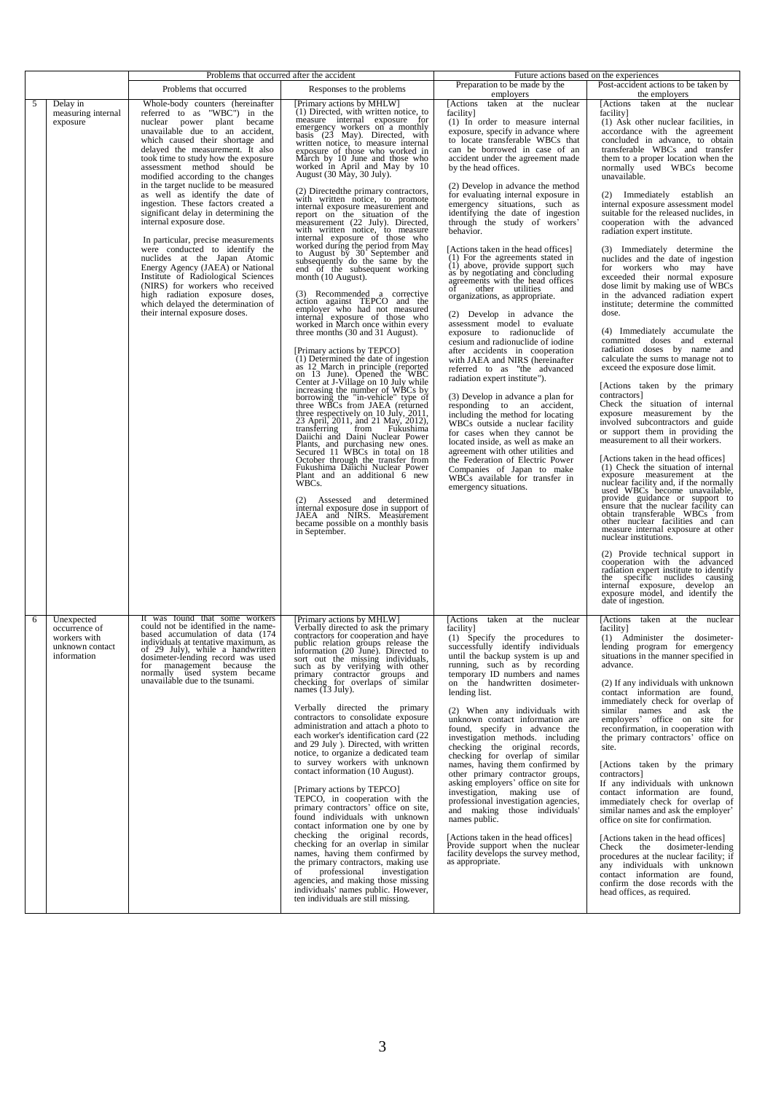|   |                                                                               | Problems that occurred after the accident                                                                                                                                                                                                                                                                                                                                                                                                                                                                                                                                                                                                                                                                                                                                                                                               |                                                                                                                                                                                                                                                                                                                                                                                                                                                                                                                                                                                                                                                                                                                                                                                                                                                                                                                                                                                                                                                                                                                                                                               | Future actions based on the experiences                                                                                                                                                                                                                                                                                                                                                                                                                                                                                                                                                                                                                                                                                                                                                                                                                                                               |                                                                                                                                                                                                                                                                                                                                                                                                                                                                                                                                                                                                                                                                                                                                                                                                                                                                                                                                                      |
|---|-------------------------------------------------------------------------------|-----------------------------------------------------------------------------------------------------------------------------------------------------------------------------------------------------------------------------------------------------------------------------------------------------------------------------------------------------------------------------------------------------------------------------------------------------------------------------------------------------------------------------------------------------------------------------------------------------------------------------------------------------------------------------------------------------------------------------------------------------------------------------------------------------------------------------------------|-------------------------------------------------------------------------------------------------------------------------------------------------------------------------------------------------------------------------------------------------------------------------------------------------------------------------------------------------------------------------------------------------------------------------------------------------------------------------------------------------------------------------------------------------------------------------------------------------------------------------------------------------------------------------------------------------------------------------------------------------------------------------------------------------------------------------------------------------------------------------------------------------------------------------------------------------------------------------------------------------------------------------------------------------------------------------------------------------------------------------------------------------------------------------------|-------------------------------------------------------------------------------------------------------------------------------------------------------------------------------------------------------------------------------------------------------------------------------------------------------------------------------------------------------------------------------------------------------------------------------------------------------------------------------------------------------------------------------------------------------------------------------------------------------------------------------------------------------------------------------------------------------------------------------------------------------------------------------------------------------------------------------------------------------------------------------------------------------|------------------------------------------------------------------------------------------------------------------------------------------------------------------------------------------------------------------------------------------------------------------------------------------------------------------------------------------------------------------------------------------------------------------------------------------------------------------------------------------------------------------------------------------------------------------------------------------------------------------------------------------------------------------------------------------------------------------------------------------------------------------------------------------------------------------------------------------------------------------------------------------------------------------------------------------------------|
|   |                                                                               | Problems that occurred                                                                                                                                                                                                                                                                                                                                                                                                                                                                                                                                                                                                                                                                                                                                                                                                                  | Responses to the problems                                                                                                                                                                                                                                                                                                                                                                                                                                                                                                                                                                                                                                                                                                                                                                                                                                                                                                                                                                                                                                                                                                                                                     | Preparation to be made by the                                                                                                                                                                                                                                                                                                                                                                                                                                                                                                                                                                                                                                                                                                                                                                                                                                                                         | Post-accident actions to be taken by                                                                                                                                                                                                                                                                                                                                                                                                                                                                                                                                                                                                                                                                                                                                                                                                                                                                                                                 |
| 5 | Delay in<br>measuring internal<br>exposure                                    | Whole-body counters (hereinafter<br>referred to as "WBC") in the<br>nuclear power plant became<br>unavailable due to an accident,<br>which caused their shortage and<br>delayed the measurement. It also<br>took time to study how the exposure<br>assessment method should be<br>modified according to the changes<br>in the target nuclide to be measured<br>as well as identify the date of<br>ingestion. These factors created a<br>significant delay in determining the<br>internal exposure dose.<br>In particular, precise measurements<br>were conducted to identify the<br>nuclides at the Japan Atomic<br>Energy Agency (JAEA) or National<br>Institute of Radiological Sciences<br>(NIRS) for workers who received<br>high radiation exposure doses,<br>which delayed the determination of<br>their internal exposure doses. | [Primary actions by MHLW]<br>(1) Directed, with written notice, to<br>measure internal exposure for<br>emergency workers on a monthly<br>basis (23 May). Directed, with<br>written notice, to measure internal<br>exposure of those who worked in<br>March by 10 June and those who<br>worked in April and May by 10<br>August (30 May, 30 July).<br>(2) Directed the primary contractors,<br>with written notice, to promote<br>with written notice, to promote<br>report on the situation of the<br>measurement and<br>measurement (22 July). Directed,<br>with written notice, to measure<br>internal exposure of those who<br>worked during the period from May<br>to August by<br>month (10 August).<br>(3) Recommended a corrective<br>action against TEPCO and the<br>employer who had not measured<br>internal exposure of those who<br>worked in March once within every<br>three months (30 and 31 August).<br>[Primary actions by TEPCO]                                                                                                                                                                                                                           | employers<br>[Actions<br>taken at the nuclear<br>facility]<br>(1) In order to measure internal<br>exposure, specify in advance where<br>to locate transferable WBCs that<br>can be borrowed in case of an<br>accident under the agreement made<br>by the head offices.<br>(2) Develop in advance the method<br>for evaluating internal exposure in<br>emergency situations, such as<br>identifying the date of ingestion<br>through the study of workers'<br>behavior.<br>[Actions taken in the head offices]<br>(1) For the agreements stated in<br>(1) above, provide support such<br>as by negotiating and concluding<br>agreements with the head offices<br>οf<br>other<br>utilities<br>and<br>organizations, as appropriate.<br>(2) Develop in advance the<br>assessment model to evaluate<br>exposure to radionuclide of<br>cesium and radionuclide of iodine<br>after accidents in cooperation | the employers<br>[Actions taken at the nuclear<br>facility]<br>(1) Ask other nuclear facilities, in<br>accordance with the agreement<br>concluded in advance, to obtain<br>transferable WBCs and transfer<br>them to a proper location when the<br>normally used WBCs become<br>unavailable.<br>(2) Immediately establish an<br>internal exposure assessment model<br>suitable for the released nuclides, in<br>cooperation with the advanced<br>radiation expert institute.<br>(3) Immediately determine the<br>nuclides and the date of ingestion<br>for workers who may have<br>exceeded their normal exposure<br>dose limit by making use of WBCs<br>in the advanced radiation expert<br>institute; determine the committed<br>dose.<br>(4) Immediately accumulate the<br>committed doses and external<br>radiation doses by name and                                                                                                            |
|   |                                                                               |                                                                                                                                                                                                                                                                                                                                                                                                                                                                                                                                                                                                                                                                                                                                                                                                                                         | (1) Determined the date of ingestion<br>(1) Determined the date of ingestor<br>as 12 March in principle (reported<br>on 13 June). Opend the WBC<br>center at J-Village on 10 July while<br>increasing the number of WBCs by<br>borrowing the "in-vehicle" type of<br>three vBCs from JA<br>transferring from Fukushima<br>Daiichi and Daini Nuclear Power<br>Diants, and purchasing new ones.<br>Secured 11 WBCs in total on 18<br>October through the transfer from<br>Fukushima Daiichi Nuclear Power<br>Plant and an additional 6 new WBCs.<br>(2) Assessed and determined<br>internal exposure dose in support of<br>JAEA and NIRS. Measurement<br>became possible on a monthly basis<br>in September.                                                                                                                                                                                                                                                                                                                                                                                                                                                                    | with JAEA and NIRS (hereinafter<br>referred to as "the advanced<br>radiation expert institute").<br>(3) Develop in advance a plan for<br>responding to an accident,<br>including the method for locating<br>WBCs outside a nuclear facility<br>for cases when they cannot be<br>located inside, as well as make an<br>agreement with other utilities and<br>the Federation of Electric Power<br>Companies of Japan to make<br>WBCs available for transfer in<br>emergency situations.                                                                                                                                                                                                                                                                                                                                                                                                                 | calculate the sums to manage not to<br>exceed the exposure dose limit.<br>[Actions taken by the primary<br>contractors]<br>Check the situation of internal<br>exposure measurement by the<br>involved subcontractors and guide<br>or support them in providing the<br>measurement to all their workers.<br>[Actions taken in the head offices]<br>(1) Check the situation of internal<br>exposure measurement at the<br>nuclear facility and, if the normally<br>used WBCs become unavailable,<br>provide guidance or support to<br>ensure that the nuclear facility can<br>obtain transferable WBCs from<br>other nuclear facilities and can<br>measure internal exposure at other<br>nuclear institutions.<br>(2) Provide technical support in<br>cooperation with the advanced<br>radiation expert institute to identify<br>the specific nuclides causing<br>internal exposure, develop an exposure model, and identify the<br>date of ingestion. |
| 6 | Unexpected<br>occurrence of<br>workers with<br>unknown contact<br>information | It was found that some workers<br>could not be identified in the name-<br>based accumulation of data (174<br>individuals at tentative maximum, as<br>of 29 July), while a handwritten<br>dosimeter-lending record was used<br>for management because the<br>normally used system became<br>unavailable due to the tsunami.                                                                                                                                                                                                                                                                                                                                                                                                                                                                                                              | [Primary actions by MHLW]<br>Verbally directed to ask the primary<br>contractors for cooperation and have<br>public relation groups release the<br>information (20 June). Directed to<br>sort out the missing individuals,<br>such as by verifying with other<br>primary contractor groups and<br>checking for overlaps of similar<br>names $(13 \text{ July})$ .<br>Verbally directed the primary<br>contractors to consolidate exposure<br>administration and attach a photo to<br>each worker's identification card (22)<br>and 29 July ). Directed, with written<br>notice, to organize a dedicated team<br>to survey workers with unknown<br>contact information (10 August).<br>[Primary actions by TEPCO]<br>TEPCO, in cooperation with the<br>primary contractors' office on site,<br>found individuals with unknown<br>contact information one by one by<br>checking the original records,<br>checking for an overlap in similar<br>names, having them confirmed by<br>the primary contractors, making use<br>professional<br>investigation<br>of<br>agencies, and making those missing<br>individuals' names public. However,<br>ten individuals are still missing. | [Actions taken at the nuclear<br>facility]<br>(1) Specify the procedures to<br>successfully identify individuals<br>until the backup system is up and<br>running, such as by recording<br>temporary ID numbers and names<br>on the handwritten dosimeter-<br>lending list.<br>(2) When any individuals with<br>unknown contact information are<br>found, specify in advance the<br>investigation methods. including<br>checking the original records,<br>checking for overlap of similar<br>names, having them confirmed by<br>other primary contractor groups,<br>asking employers' office on site for<br>investigation, making use of<br>professional investigation agencies,<br>and making those individuals'<br>names public.<br>[Actions taken in the head offices]<br>Provide support when the nuclear<br>facility develops the survey method,<br>as appropriate.                               | [Actions taken at the nuclear<br>facility]<br>(1) Administer the dosimeter-<br>lending program for emergency<br>situations in the manner specified in<br>advance.<br>(2) If any individuals with unknown<br>contact information are found,<br>immediately check for overlap of<br>similar names and ask the<br>employers' office on site for<br>reconfirmation, in cooperation with<br>the primary contractors' office on<br>site.<br>[Actions taken by the primary<br>contractors]<br>If any individuals with unknown<br>contact information are found,<br>immediately check for overlap of<br>similar names and ask the employer'<br>office on site for confirmation.<br>[Actions taken in the head offices]<br>Check<br>the<br>dosimeter-lending<br>procedures at the nuclear facility; if<br>any individuals with unknown<br>contact information are found,<br>confirm the dose records with the<br>head offices, as required.                   |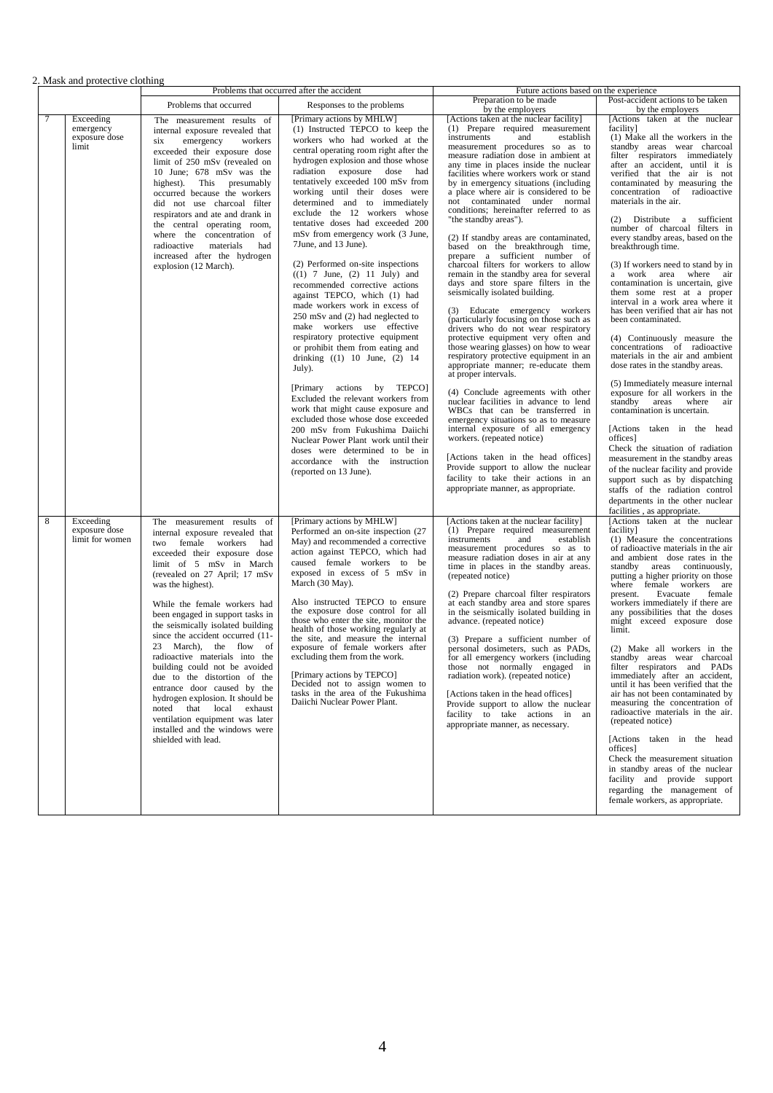## 2. Mask and protective clothing

|   |                                                  | Problems that occurred after the accident                                                                                                                                                                                                                                                                                                                                                                                                                                                                                                                                                                                                                                        |                                                                                                                                                                                                                                                                                                                                                                                                                                                                                                                                                                                                                                                                                                                                                                                                                                                                                                                                                                                                                                                                                                                                                          | Future actions based on the experience                                                                                                                                                                                                                                                                                                                                                                                                                                                                                                                                                                                                                                                                                                                                                                                                                                                                                                                                                                                                                                                                                                                                                                                                                                                                                                                                                                                                                                     |                                                                                                                                                                                                                                                                                                                                                                                                                                                                                                                                                                                                                                                                                                                                                                                                                                                                                                                                                                                                                                                                                                                                                                                                                                           |  |
|---|--------------------------------------------------|----------------------------------------------------------------------------------------------------------------------------------------------------------------------------------------------------------------------------------------------------------------------------------------------------------------------------------------------------------------------------------------------------------------------------------------------------------------------------------------------------------------------------------------------------------------------------------------------------------------------------------------------------------------------------------|----------------------------------------------------------------------------------------------------------------------------------------------------------------------------------------------------------------------------------------------------------------------------------------------------------------------------------------------------------------------------------------------------------------------------------------------------------------------------------------------------------------------------------------------------------------------------------------------------------------------------------------------------------------------------------------------------------------------------------------------------------------------------------------------------------------------------------------------------------------------------------------------------------------------------------------------------------------------------------------------------------------------------------------------------------------------------------------------------------------------------------------------------------|----------------------------------------------------------------------------------------------------------------------------------------------------------------------------------------------------------------------------------------------------------------------------------------------------------------------------------------------------------------------------------------------------------------------------------------------------------------------------------------------------------------------------------------------------------------------------------------------------------------------------------------------------------------------------------------------------------------------------------------------------------------------------------------------------------------------------------------------------------------------------------------------------------------------------------------------------------------------------------------------------------------------------------------------------------------------------------------------------------------------------------------------------------------------------------------------------------------------------------------------------------------------------------------------------------------------------------------------------------------------------------------------------------------------------------------------------------------------------|-------------------------------------------------------------------------------------------------------------------------------------------------------------------------------------------------------------------------------------------------------------------------------------------------------------------------------------------------------------------------------------------------------------------------------------------------------------------------------------------------------------------------------------------------------------------------------------------------------------------------------------------------------------------------------------------------------------------------------------------------------------------------------------------------------------------------------------------------------------------------------------------------------------------------------------------------------------------------------------------------------------------------------------------------------------------------------------------------------------------------------------------------------------------------------------------------------------------------------------------|--|
|   |                                                  | Problems that occurred                                                                                                                                                                                                                                                                                                                                                                                                                                                                                                                                                                                                                                                           | Responses to the problems                                                                                                                                                                                                                                                                                                                                                                                                                                                                                                                                                                                                                                                                                                                                                                                                                                                                                                                                                                                                                                                                                                                                | Preparation to be made                                                                                                                                                                                                                                                                                                                                                                                                                                                                                                                                                                                                                                                                                                                                                                                                                                                                                                                                                                                                                                                                                                                                                                                                                                                                                                                                                                                                                                                     | Post-accident actions to be taken                                                                                                                                                                                                                                                                                                                                                                                                                                                                                                                                                                                                                                                                                                                                                                                                                                                                                                                                                                                                                                                                                                                                                                                                         |  |
|   | Exceeding<br>emergency<br>exposure dose<br>limit | The measurement results of<br>internal exposure revealed that<br>emergency<br>workers<br>six<br>exceeded their exposure dose<br>limit of 250 mSv (revealed on<br>10 June; 678 mSv was the<br>This presumably<br>highest).<br>occurred because the workers<br>did not use charcoal filter<br>respirators and ate and drank in<br>the central operating room,<br>where the concentration of<br>radioactive<br>materials<br>had<br>increased after the hydrogen<br>explosion (12 March).                                                                                                                                                                                            | [Primary actions by MHLW]<br>(1) Instructed TEPCO to keep the<br>workers who had worked at the<br>central operating room right after the<br>hydrogen explosion and those whose<br>radiation exposure dose<br>had<br>tentatively exceeded 100 mSv from<br>working until their doses were<br>determined and to immediately<br>exclude the 12 workers whose<br>tentative doses had exceeded 200<br>mSv from emergency work (3 June,<br>7June, and 13 June).<br>(2) Performed on-site inspections<br>$((1) 7$ June, $(2) 11$ July) and<br>recommended corrective actions<br>against TEPCO, which (1) had<br>made workers work in excess of<br>250 mSv and (2) had neglected to<br>make workers use effective<br>respiratory protective equipment<br>or prohibit them from eating and<br>drinking $((1) 10$ June, $(2) 14$<br>July).<br>[Primary actions by TEPCO]<br>Excluded the relevant workers from<br>work that might cause exposure and<br>excluded those whose dose exceeded<br>200 mSv from Fukushima Daiichi<br>Nuclear Power Plant work until their<br>doses were determined to be in<br>accordance with the instruction<br>(reported on 13 June). | by the employers<br>[Actions taken at the nuclear facility]<br>(1) Prepare required measurement<br>instruments<br>establish<br>and<br>measurement procedures so as to<br>measure radiation dose in ambient at<br>any time in places inside the nuclear<br>facilities where workers work or stand<br>by in emergency situations (including<br>a place where air is considered to be<br>not contaminated under normal<br>conditions; hereinafter referred to as<br>"the standby areas").<br>(2) If standby areas are contaminated,<br>based on the breakthrough time,<br>prepare a sufficient number of<br>charcoal filters for workers to allow<br>remain in the standby area for several<br>days and store spare filters in the<br>seismically isolated building.<br>(3) Educate emergency workers<br>(particularly focusing on those such as<br>drivers who do not wear respiratory<br>protective equipment very often and<br>those wearing glasses) on how to wear<br>respiratory protective equipment in an<br>appropriate manner; re-educate them<br>at proper intervals.<br>(4) Conclude agreements with other<br>nuclear facilities in advance to lend<br>WBCs that can be transferred in<br>emergency situations so as to measure<br>internal exposure of all emergency<br>workers. (repeated notice)<br>[Actions taken in the head offices]<br>Provide support to allow the nuclear<br>facility to take their actions in an<br>appropriate manner, as appropriate. | by the employers<br>[Actions taken at the nuclear<br>facility]<br>(1) Make all the workers in the<br>standby areas wear charcoal<br>filter respirators immediately<br>after an accident, until it is<br>verified that the air is not<br>contaminated by measuring the<br>concentration of radioactive<br>materials in the air.<br>(2) Distribute a sufficient<br>number of charcoal filters in<br>every standby areas, based on the<br>breakthrough time.<br>(3) If workers need to stand by in<br>a work area where air<br>contamination is uncertain, give<br>them some rest at a proper<br>interval in a work area where it<br>has been verified that air has not<br>been contaminated.<br>(4) Continuously measure the<br>concentrations of radioactive<br>materials in the air and ambient<br>dose rates in the standby areas.<br>(5) Immediately measure internal<br>exposure for all workers in the<br>standby areas<br>where air<br>contamination is uncertain.<br>[Actions taken in the head<br>offices]<br>Check the situation of radiation<br>measurement in the standby areas<br>of the nuclear facility and provide<br>support such as by dispatching<br>staffs of the radiation control<br>departments in the other nuclear |  |
| 8 | Exceeding<br>exposure dose<br>limit for women    | The measurement results of<br>internal exposure revealed that<br>two female workers<br>had<br>exceeded their exposure dose<br>limit of 5 mSv in March<br>(revealed on 27 April; 17 mSv<br>was the highest).<br>While the female workers had<br>been engaged in support tasks in<br>the seismically isolated building<br>since the accident occurred (11-<br>23 March), the flow of<br>radioactive materials into the<br>building could not be avoided<br>due to the distortion of the<br>entrance door caused by the<br>hydrogen explosion. It should be<br>noted that local exhaust<br>ventilation equipment was later<br>installed and the windows were<br>shielded with lead. | [Primary actions by MHLW]<br>Performed an on-site inspection (27<br>May) and recommended a corrective<br>action against TEPCO, which had<br>caused female workers to be<br>exposed in excess of 5 mSv in<br>March (30 May).<br>Also instructed TEPCO to ensure<br>the exposure dose control for all<br>those who enter the site, monitor the<br>health of those working regularly at<br>the site, and measure the internal<br>exposure of female workers after<br>excluding them from the work.<br>[Primary actions by TEPCO]<br>Decided not to assign women to<br>tasks in the area of the Fukushima<br>Daiichi Nuclear Power Plant.                                                                                                                                                                                                                                                                                                                                                                                                                                                                                                                    | [Actions taken at the nuclear facility]<br>(1) Prepare required measurement<br>instruments<br>establish<br>and<br>measurement procedures so as to<br>measure radiation doses in air at any<br>time in places in the standby areas.<br>(repeated notice)<br>(2) Prepare charcoal filter respirators<br>at each standby area and store spares<br>in the seismically isolated building in<br>advance. (repeated notice)<br>(3) Prepare a sufficient number of<br>personal dosimeters, such as PADs,<br>for all emergency workers (including<br>those not normally engaged in<br>radiation work). (repeated notice)<br>[Actions taken in the head offices]<br>Provide support to allow the nuclear<br>facility to take actions in an<br>appropriate manner, as necessary.                                                                                                                                                                                                                                                                                                                                                                                                                                                                                                                                                                                                                                                                                                      | facilities, as appropriate.<br>[Actions taken at the nuclear<br>facility]<br>(1) Measure the concentrations<br>of radioactive materials in the air<br>and ambient dose rates in the<br>standby areas continuously,<br>putting a higher priority on those<br>where female workers are<br>present.<br>Evacuate<br>female<br>workers immediately if there are<br>any possibilities that the doses<br>might exceed exposure dose<br>limit.<br>(2) Make all workers in the<br>standby areas wear charcoal<br>filter respirators and PADs<br>immediately after an accident,<br>until it has been verified that the<br>air has not been contaminated by<br>measuring the concentration of<br>radioactive materials in the air.<br>(repeated notice)<br>[Actions taken in the head<br>offices]<br>Check the measurement situation<br>in standby areas of the nuclear<br>facility and provide support<br>regarding the management of<br>female workers, as appropriate.                                                                                                                                                                                                                                                                            |  |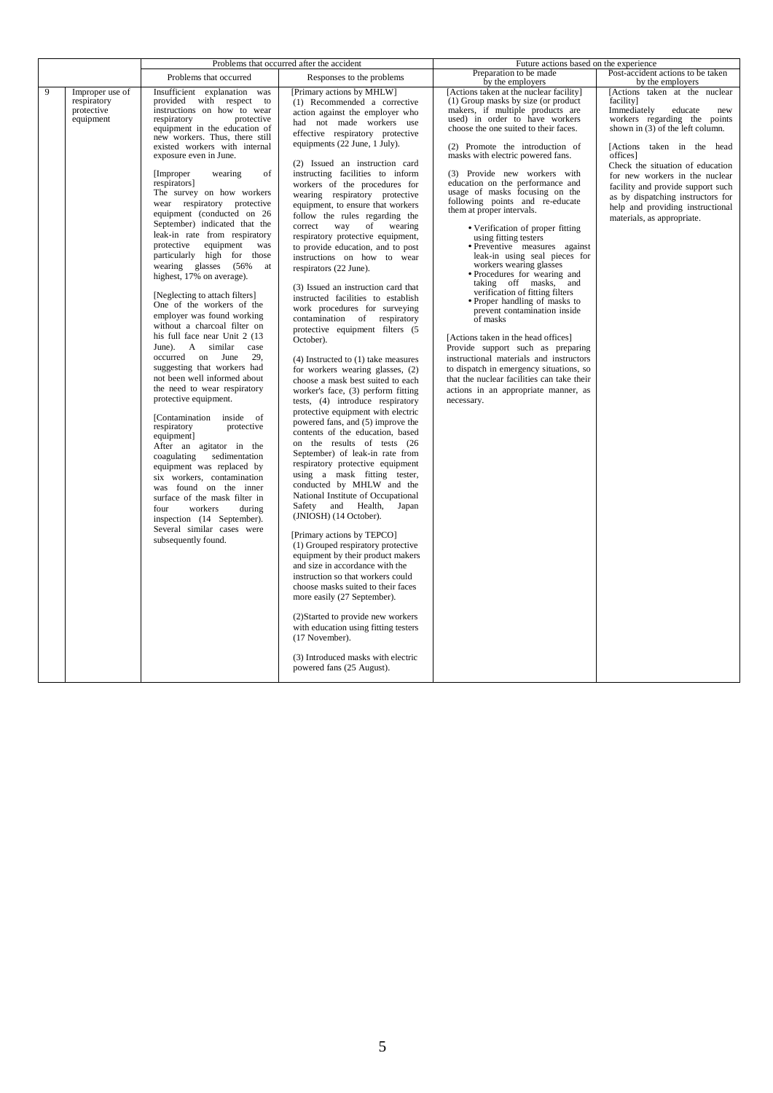|   |                                                           | Problems that occurred after the accident                                                                                                                                                                                                                                                                                                                                                                                                                                                                                                                                                                                                                                                                                                                                                                                                                                                                                                                                                                                                                                                                                                                                                                                                                                                                           |                                                                                                                                                                                                                                                                                                                                                                                                                                                                                                                                                                                                                                                                                                                                                                                                                                                                                                                                                                                                                                                                                                                                                                                                                                                                                                                                                                                                                                                                                                                                                                                                                                                                                                                                                                                              | Future actions based on the experience                                                                                                                                                                                                                                                                                                                                                                                                                                                                                                                                                                                                                                                                                                                                                                                                                                                                                                                                                                                                               |                                                                                                                                                                                                                                                                                                                                                                                                             |
|---|-----------------------------------------------------------|---------------------------------------------------------------------------------------------------------------------------------------------------------------------------------------------------------------------------------------------------------------------------------------------------------------------------------------------------------------------------------------------------------------------------------------------------------------------------------------------------------------------------------------------------------------------------------------------------------------------------------------------------------------------------------------------------------------------------------------------------------------------------------------------------------------------------------------------------------------------------------------------------------------------------------------------------------------------------------------------------------------------------------------------------------------------------------------------------------------------------------------------------------------------------------------------------------------------------------------------------------------------------------------------------------------------|----------------------------------------------------------------------------------------------------------------------------------------------------------------------------------------------------------------------------------------------------------------------------------------------------------------------------------------------------------------------------------------------------------------------------------------------------------------------------------------------------------------------------------------------------------------------------------------------------------------------------------------------------------------------------------------------------------------------------------------------------------------------------------------------------------------------------------------------------------------------------------------------------------------------------------------------------------------------------------------------------------------------------------------------------------------------------------------------------------------------------------------------------------------------------------------------------------------------------------------------------------------------------------------------------------------------------------------------------------------------------------------------------------------------------------------------------------------------------------------------------------------------------------------------------------------------------------------------------------------------------------------------------------------------------------------------------------------------------------------------------------------------------------------------|------------------------------------------------------------------------------------------------------------------------------------------------------------------------------------------------------------------------------------------------------------------------------------------------------------------------------------------------------------------------------------------------------------------------------------------------------------------------------------------------------------------------------------------------------------------------------------------------------------------------------------------------------------------------------------------------------------------------------------------------------------------------------------------------------------------------------------------------------------------------------------------------------------------------------------------------------------------------------------------------------------------------------------------------------|-------------------------------------------------------------------------------------------------------------------------------------------------------------------------------------------------------------------------------------------------------------------------------------------------------------------------------------------------------------------------------------------------------------|
|   |                                                           | Problems that occurred                                                                                                                                                                                                                                                                                                                                                                                                                                                                                                                                                                                                                                                                                                                                                                                                                                                                                                                                                                                                                                                                                                                                                                                                                                                                                              | Responses to the problems                                                                                                                                                                                                                                                                                                                                                                                                                                                                                                                                                                                                                                                                                                                                                                                                                                                                                                                                                                                                                                                                                                                                                                                                                                                                                                                                                                                                                                                                                                                                                                                                                                                                                                                                                                    | Preparation to be made<br>by the employers                                                                                                                                                                                                                                                                                                                                                                                                                                                                                                                                                                                                                                                                                                                                                                                                                                                                                                                                                                                                           | Post-accident actions to be taken<br>by the employers                                                                                                                                                                                                                                                                                                                                                       |
| 9 | Improper use of<br>respiratory<br>protective<br>equipment | Insufficient explanation was<br>provided with respect to<br>instructions on how to wear<br>respiratory<br>protective<br>equipment in the education of<br>new workers. Thus, there still<br>existed workers with internal<br>exposure even in June.<br>of<br>[Improper]<br>wearing<br>respirators]<br>The survey on how workers<br>wear respiratory protective<br>equipment (conducted on 26<br>September) indicated that the<br>leak-in rate from respiratory<br>protective<br>equipment<br>was<br>particularly high for those<br>wearing glasses (56%<br>at<br>highest, 17% on average).<br>[Neglecting to attach filters]<br>One of the workers of the<br>employer was found working<br>without a charcoal filter on<br>his full face near Unit 2 (13)<br>June). A similar<br>case<br>29.<br>occurred on June<br>suggesting that workers had<br>not been well informed about<br>the need to wear respiratory<br>protective equipment.<br>[Contamination<br>inside of<br>respiratory<br>protective<br>equipment]<br>After an agitator in the<br>coagulating<br>sedimentation<br>equipment was replaced by<br>six workers, contamination<br>was found on the inner<br>surface of the mask filter in<br>four<br>workers<br>during<br>inspection (14 September).<br>Several similar cases were<br>subsequently found. | [Primary actions by MHLW]<br>(1) Recommended a corrective<br>action against the employer who<br>had not made workers use<br>effective respiratory protective<br>equipments (22 June, 1 July).<br>(2) Issued an instruction card<br>instructing facilities to inform<br>workers of the procedures for<br>wearing respiratory protective<br>equipment, to ensure that workers<br>follow the rules regarding the<br>correct<br>way<br>of<br>wearing<br>respiratory protective equipment,<br>to provide education, and to post<br>instructions on how to wear<br>respirators (22 June).<br>(3) Issued an instruction card that<br>instructed facilities to establish<br>work procedures for surveying<br>contamination of respiratory<br>protective equipment filters (5<br>October).<br>$(4)$ Instructed to $(1)$ take measures<br>for workers wearing glasses, (2)<br>choose a mask best suited to each<br>worker's face, (3) perform fitting<br>tests, (4) introduce respiratory<br>protective equipment with electric<br>powered fans, and (5) improve the<br>contents of the education, based<br>on the results of tests (26<br>September) of leak-in rate from<br>respiratory protective equipment<br>using a mask fitting tester,<br>conducted by MHLW and the<br>National Institute of Occupational<br>Safety and<br>Health,<br>Japan<br>(JNIOSH) (14 October).<br>[Primary actions by TEPCO]<br>(1) Grouped respiratory protective<br>equipment by their product makers<br>and size in accordance with the<br>instruction so that workers could<br>choose masks suited to their faces<br>more easily (27 September).<br>(2) Started to provide new workers<br>with education using fitting testers<br>(17 November).<br>(3) Introduced masks with electric<br>powered fans (25 August). | [Actions taken at the nuclear facility]<br>(1) Group masks by size (or product<br>makers, if multiple products are<br>used) in order to have workers<br>choose the one suited to their faces.<br>(2) Promote the introduction of<br>masks with electric powered fans.<br>(3) Provide new workers with<br>education on the performance and<br>usage of masks focusing on the<br>following points and re-educate<br>them at proper intervals.<br>• Verification of proper fitting<br>using fitting testers<br>· Preventive measures against<br>leak-in using seal pieces for<br>workers wearing glasses<br>• Procedures for wearing and<br>taking off masks, and<br>verification of fitting filters<br>• Proper handling of masks to<br>prevent contamination inside<br>of masks<br>[Actions taken in the head offices]<br>Provide support such as preparing<br>instructional materials and instructors<br>to dispatch in emergency situations, so<br>that the nuclear facilities can take their<br>actions in an appropriate manner, as<br>necessary. | [Actions taken at the nuclear<br>facility]<br>Immediately<br>educate<br>new<br>workers regarding the points<br>shown in (3) of the left column.<br>[Actions taken in the head<br>offices]<br>Check the situation of education<br>for new workers in the nuclear<br>facility and provide support such<br>as by dispatching instructors for<br>help and providing instructional<br>materials, as appropriate. |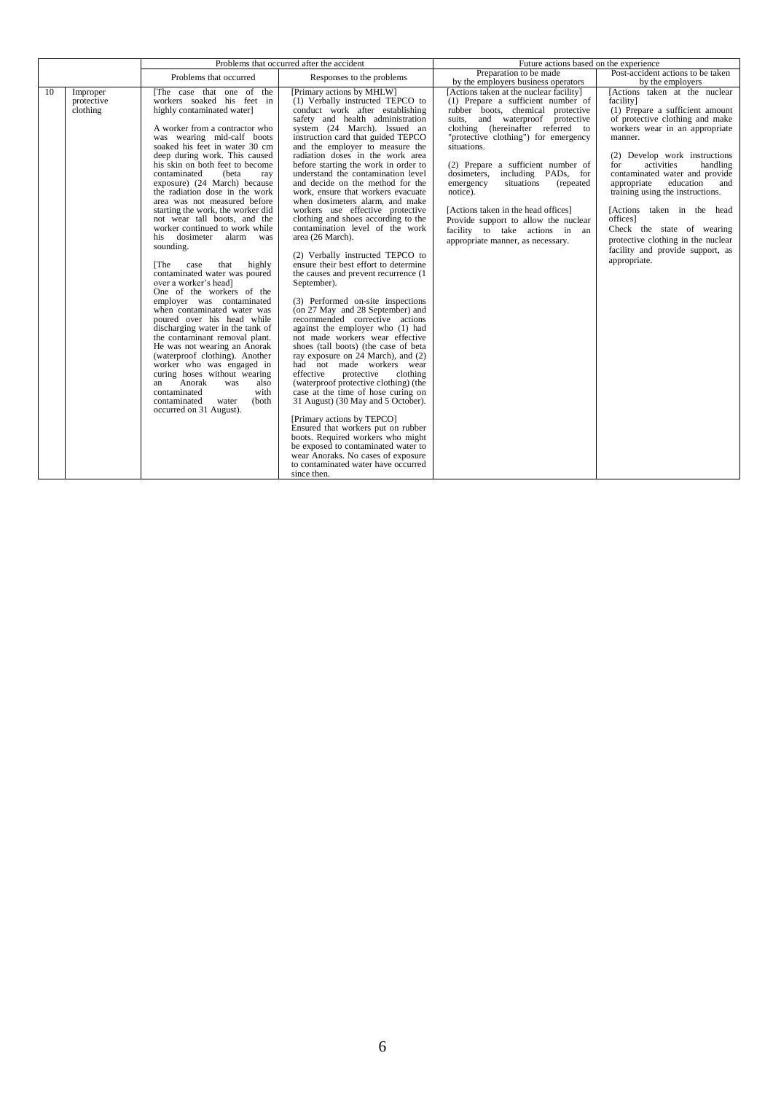|    |                                    | Problems that occurred after the accident                                                                                                                                                                                                                                                                                                                                                                                                                                                                                                                                                                                                                                                                                                                                                                                                                                                                                                                                                                                                                                                   |                                                                                                                                                                                                                                                                                                                                                                                                                                                                                                                                                                                                                                                                                                                                                                                                                                                                                                                                                                                                                                                                                                                                                                                                                                                                                                                                                                                                                                                          | Future actions based on the experience                                                                                                                                                                                                                                                                                                                                                                                                                                                                                                    |                                                                                                                                                                                                                                                                                                                                                                                                                                                                                                         |
|----|------------------------------------|---------------------------------------------------------------------------------------------------------------------------------------------------------------------------------------------------------------------------------------------------------------------------------------------------------------------------------------------------------------------------------------------------------------------------------------------------------------------------------------------------------------------------------------------------------------------------------------------------------------------------------------------------------------------------------------------------------------------------------------------------------------------------------------------------------------------------------------------------------------------------------------------------------------------------------------------------------------------------------------------------------------------------------------------------------------------------------------------|----------------------------------------------------------------------------------------------------------------------------------------------------------------------------------------------------------------------------------------------------------------------------------------------------------------------------------------------------------------------------------------------------------------------------------------------------------------------------------------------------------------------------------------------------------------------------------------------------------------------------------------------------------------------------------------------------------------------------------------------------------------------------------------------------------------------------------------------------------------------------------------------------------------------------------------------------------------------------------------------------------------------------------------------------------------------------------------------------------------------------------------------------------------------------------------------------------------------------------------------------------------------------------------------------------------------------------------------------------------------------------------------------------------------------------------------------------|-------------------------------------------------------------------------------------------------------------------------------------------------------------------------------------------------------------------------------------------------------------------------------------------------------------------------------------------------------------------------------------------------------------------------------------------------------------------------------------------------------------------------------------------|---------------------------------------------------------------------------------------------------------------------------------------------------------------------------------------------------------------------------------------------------------------------------------------------------------------------------------------------------------------------------------------------------------------------------------------------------------------------------------------------------------|
|    |                                    | Problems that occurred                                                                                                                                                                                                                                                                                                                                                                                                                                                                                                                                                                                                                                                                                                                                                                                                                                                                                                                                                                                                                                                                      | Responses to the problems                                                                                                                                                                                                                                                                                                                                                                                                                                                                                                                                                                                                                                                                                                                                                                                                                                                                                                                                                                                                                                                                                                                                                                                                                                                                                                                                                                                                                                | Preparation to be made<br>by the employers business operators                                                                                                                                                                                                                                                                                                                                                                                                                                                                             | Post-accident actions to be taken<br>by the employers                                                                                                                                                                                                                                                                                                                                                                                                                                                   |
| 10 | Improper<br>protective<br>clothing | The case that one of the<br>workers soaked his feet in<br>highly contaminated water]<br>A worker from a contractor who<br>was wearing mid-calf boots<br>soaked his feet in water 30 cm<br>deep during work. This caused<br>his skin on both feet to become<br>contaminated<br>(beta<br>ray<br>exposure) (24 March) because<br>the radiation dose in the work<br>area was not measured before<br>starting the work, the worker did<br>not wear tall boots, and the<br>worker continued to work while<br>his dosimeter alarm<br>was<br>sounding.<br>that<br>highly<br>IThe.<br>case<br>contaminated water was poured<br>over a worker's head]<br>One of the workers of the<br>employer was contaminated<br>when contaminated water was<br>poured over his head while<br>discharging water in the tank of<br>the contaminant removal plant.<br>He was not wearing an Anorak<br>(waterproof clothing). Another<br>worker who was engaged in<br>curing hoses without wearing<br>Anorak<br>also<br>was<br>an<br>with<br>contaminated<br>contaminated<br>(both<br>water<br>occurred on 31 August). | [Primary actions by MHLW]<br>(1) Verbally instructed TEPCO to<br>conduct work after establishing<br>safety and health administration<br>system (24 March). Issued an<br>instruction card that guided TEPCO<br>and the employer to measure the<br>radiation doses in the work area<br>before starting the work in order to<br>understand the contamination level<br>and decide on the method for the<br>work, ensure that workers evacuate<br>when dosimeters alarm, and make<br>workers use effective protective<br>clothing and shoes according to the<br>contamination level of the work<br>area (26 March).<br>(2) Verbally instructed TEPCO to<br>ensure their best effort to determine<br>the causes and prevent recurrence (1)<br>September).<br>(3) Performed on-site inspections<br>(on 27 May and 28 September) and<br>recommended corrective actions<br>against the employer who (1) had<br>not made workers wear effective<br>shoes (tall boots) (the case of beta<br>ray exposure on 24 March), and (2)<br>had not made workers wear<br>effective<br>protective<br>clothing<br>(waterproof protective clothing) (the<br>case at the time of hose curing on<br>31 August) (30 May and 5 October).<br>[Primary actions by TEPCO]<br>Ensured that workers put on rubber<br>boots. Required workers who might<br>be exposed to contaminated water to<br>wear Anoraks. No cases of exposure<br>to contaminated water have occurred<br>since then. | [Actions taken at the nuclear facility]<br>(1) Prepare a sufficient number of<br>rubber boots, chemical protective<br>suits, and waterproof protective<br>clothing (hereinafter referred to<br>"protective clothing") for emergency<br>situations.<br>(2) Prepare a sufficient number of<br>dosimeters,<br>including PADs, for<br>situations<br>emergency<br>(repeated)<br>notice).<br>[Actions taken in the head offices]<br>Provide support to allow the nuclear<br>facility to take actions in an<br>appropriate manner, as necessary. | [Actions taken at the nuclear<br>facility]<br>(1) Prepare a sufficient amount<br>of protective clothing and make<br>workers wear in an appropriate<br>manner.<br>(2) Develop work instructions<br>activities<br>handling<br>for<br>contaminated water and provide<br>appropriate<br>education and<br>training using the instructions.<br>[Actions taken in the head<br>offices]<br>Check the state of wearing<br>protective clothing in the nuclear<br>facility and provide support, as<br>appropriate. |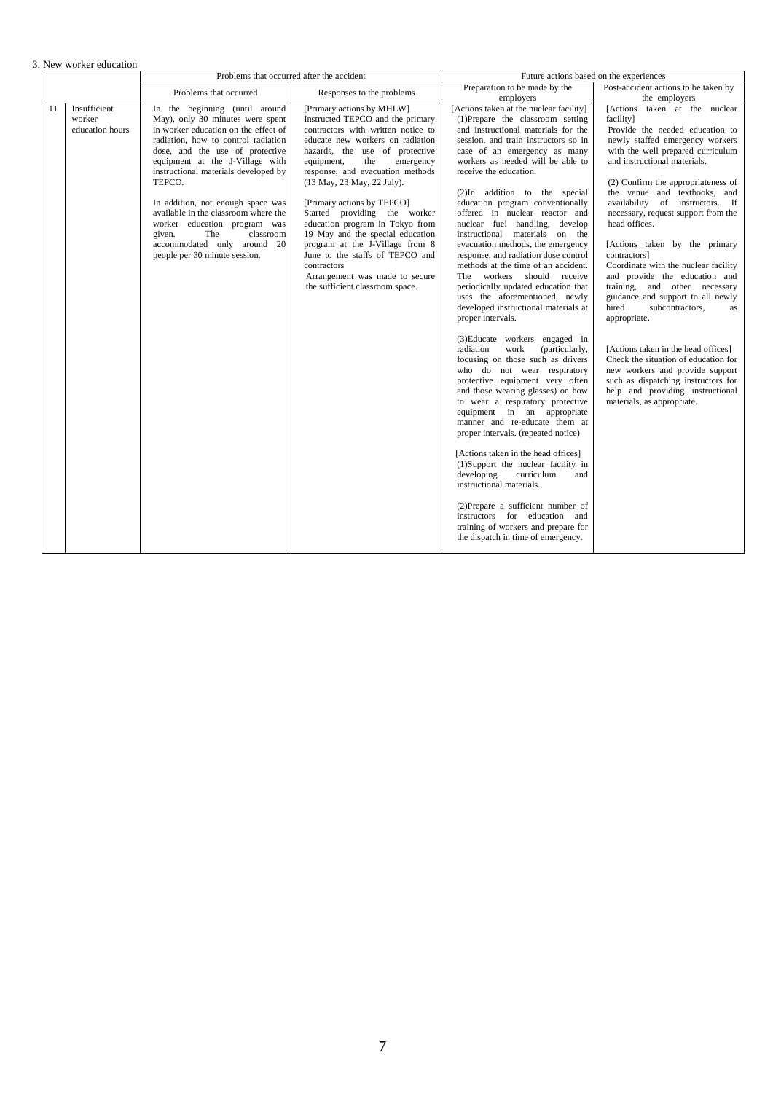|  | 3. New worker education |
|--|-------------------------|
|  |                         |

| Preparation to be made by the<br>Problems that occurred<br>Responses to the problems<br>employers<br>Insufficient<br>[Actions taken at the nuclear facility]<br>11<br>In the beginning (until around<br>[Primary actions by MHLW]<br>worker<br>May), only 30 minutes were spent<br>Instructed TEPCO and the primary<br>(1)Prepare the classroom setting<br>facility]<br>in worker education on the effect of<br>contractors with written notice to<br>and instructional materials for the<br>education hours                                                                                                                                                                                                                                                                                                                                                                                                                                                                                                                                                                                                                                                                                                                                                                                                                                                                                                                                                                                                                                                                                                                                                                                                                                                                                                                                                                                                                                                                                                                                                                                                                                                                        | Post-accident actions to be taken by<br>the employers                                                                                                                                                                                                                                                                                                                                                                                                                                                                                                                                                                                                                                                                                                        |
|-------------------------------------------------------------------------------------------------------------------------------------------------------------------------------------------------------------------------------------------------------------------------------------------------------------------------------------------------------------------------------------------------------------------------------------------------------------------------------------------------------------------------------------------------------------------------------------------------------------------------------------------------------------------------------------------------------------------------------------------------------------------------------------------------------------------------------------------------------------------------------------------------------------------------------------------------------------------------------------------------------------------------------------------------------------------------------------------------------------------------------------------------------------------------------------------------------------------------------------------------------------------------------------------------------------------------------------------------------------------------------------------------------------------------------------------------------------------------------------------------------------------------------------------------------------------------------------------------------------------------------------------------------------------------------------------------------------------------------------------------------------------------------------------------------------------------------------------------------------------------------------------------------------------------------------------------------------------------------------------------------------------------------------------------------------------------------------------------------------------------------------------------------------------------------------|--------------------------------------------------------------------------------------------------------------------------------------------------------------------------------------------------------------------------------------------------------------------------------------------------------------------------------------------------------------------------------------------------------------------------------------------------------------------------------------------------------------------------------------------------------------------------------------------------------------------------------------------------------------------------------------------------------------------------------------------------------------|
|                                                                                                                                                                                                                                                                                                                                                                                                                                                                                                                                                                                                                                                                                                                                                                                                                                                                                                                                                                                                                                                                                                                                                                                                                                                                                                                                                                                                                                                                                                                                                                                                                                                                                                                                                                                                                                                                                                                                                                                                                                                                                                                                                                                     |                                                                                                                                                                                                                                                                                                                                                                                                                                                                                                                                                                                                                                                                                                                                                              |
| radiation, how to control radiation<br>educate new workers on radiation<br>session, and train instructors so in<br>case of an emergency as many<br>dose, and the use of protective<br>hazards, the use of protective<br>equipment at the J-Village with<br>equipment,<br>workers as needed will be able to<br>the<br>emergency<br>response, and evacuation methods<br>instructional materials developed by<br>receive the education.<br>TEPCO.<br>(13 May, 23 May, 22 July).<br>(2)In addition to the special<br>education program conventionally<br>In addition, not enough space was<br>[Primary actions by TEPCO]<br>available in the classroom where the<br>Started providing the worker<br>offered in nuclear reactor and<br>worker education program was<br>education program in Tokyo from<br>nuclear fuel handling, develop<br>head offices.<br>The<br>classroom<br>19 May and the special education<br>instructional materials on the<br>given.<br>accommodated only around 20<br>program at the J-Village from 8<br>evacuation methods, the emergency<br>June to the staffs of TEPCO and<br>people per 30 minute session.<br>response, and radiation dose control<br>contractors]<br>methods at the time of an accident.<br>contractors<br>Arrangement was made to secure<br>The workers should receive<br>the sufficient classroom space.<br>periodically updated education that<br>uses the aforementioned, newly<br>developed instructional materials at<br>hired<br>proper intervals.<br>appropriate.<br>(3) Educate workers engaged in<br>radiation<br>work<br>(particularly,<br>focusing on those such as drivers<br>who do not wear respiratory<br>protective equipment very often<br>and those wearing glasses) on how<br>to wear a respiratory protective<br>equipment in an appropriate<br>manner and re-educate them at<br>proper intervals. (repeated notice)<br>[Actions taken in the head offices]<br>(1)Support the nuclear facility in<br>developing<br>curriculum<br>and<br>instructional materials.<br>(2) Prepare a sufficient number of<br>instructors for education and<br>training of workers and prepare for<br>the dispatch in time of emergency. | [Actions taken at the nuclear<br>Provide the needed education to<br>newly staffed emergency workers<br>with the well prepared curriculum<br>and instructional materials.<br>(2) Confirm the appropriateness of<br>the venue and textbooks, and<br>availability of instructors. If<br>necessary, request support from the<br>[Actions taken by the primary<br>Coordinate with the nuclear facility<br>and provide the education and<br>training, and other necessary<br>guidance and support to all newly<br>subcontractors,<br>as<br>[Actions taken in the head offices]<br>Check the situation of education for<br>new workers and provide support<br>such as dispatching instructors for<br>help and providing instructional<br>materials, as appropriate. |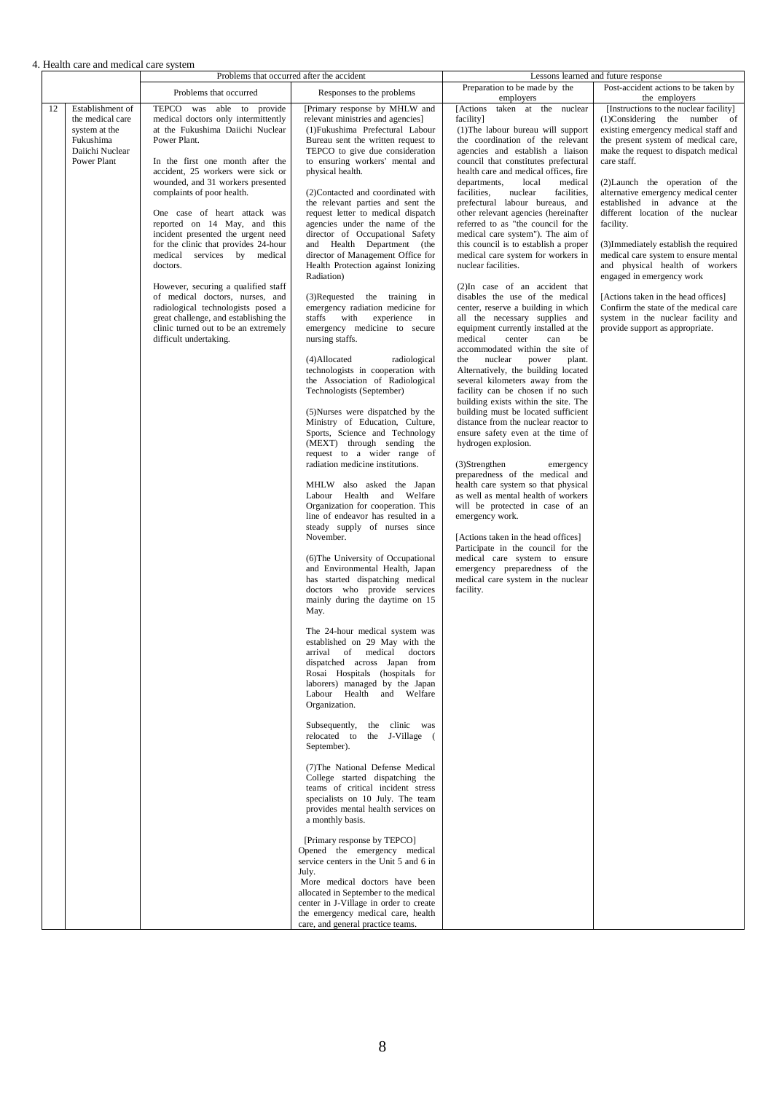4. Health care and medical care system

|    |                                                                                                      |                                                                                                                                                                                                                                                                                                                                                                                                                                                                                                                                                                                                                                                                                      | Problems that occurred after the accident                                                                                                                                                                                                                                                                                                                                                                                                                                                                                                                                                                                                                                                                                                                                                                                                                                                                                                                                                                                                                                                                                                                                                                                                                                                                                                                                                                                                                                                                                                                                                                                                                                                                                                                                                                                                                                                                                                                                                                                                                                                                                                                                                                                                                                                                         |                                                                                                                                                                                                                                                                                                                                                                                                                                                                                                                                                                                                                                                                                                                                                                                                                                                                                                                                                                                                                                                                                                                                                                                                                                                                                                                                                                                                                                                                                                                                                                                               | Lessons learned and future response                                                                                                                                                                                                                                                                                                                                                                                                                                                                                                                                                                                                                                                     |
|----|------------------------------------------------------------------------------------------------------|--------------------------------------------------------------------------------------------------------------------------------------------------------------------------------------------------------------------------------------------------------------------------------------------------------------------------------------------------------------------------------------------------------------------------------------------------------------------------------------------------------------------------------------------------------------------------------------------------------------------------------------------------------------------------------------|-------------------------------------------------------------------------------------------------------------------------------------------------------------------------------------------------------------------------------------------------------------------------------------------------------------------------------------------------------------------------------------------------------------------------------------------------------------------------------------------------------------------------------------------------------------------------------------------------------------------------------------------------------------------------------------------------------------------------------------------------------------------------------------------------------------------------------------------------------------------------------------------------------------------------------------------------------------------------------------------------------------------------------------------------------------------------------------------------------------------------------------------------------------------------------------------------------------------------------------------------------------------------------------------------------------------------------------------------------------------------------------------------------------------------------------------------------------------------------------------------------------------------------------------------------------------------------------------------------------------------------------------------------------------------------------------------------------------------------------------------------------------------------------------------------------------------------------------------------------------------------------------------------------------------------------------------------------------------------------------------------------------------------------------------------------------------------------------------------------------------------------------------------------------------------------------------------------------------------------------------------------------------------------------------------------------|-----------------------------------------------------------------------------------------------------------------------------------------------------------------------------------------------------------------------------------------------------------------------------------------------------------------------------------------------------------------------------------------------------------------------------------------------------------------------------------------------------------------------------------------------------------------------------------------------------------------------------------------------------------------------------------------------------------------------------------------------------------------------------------------------------------------------------------------------------------------------------------------------------------------------------------------------------------------------------------------------------------------------------------------------------------------------------------------------------------------------------------------------------------------------------------------------------------------------------------------------------------------------------------------------------------------------------------------------------------------------------------------------------------------------------------------------------------------------------------------------------------------------------------------------------------------------------------------------|-----------------------------------------------------------------------------------------------------------------------------------------------------------------------------------------------------------------------------------------------------------------------------------------------------------------------------------------------------------------------------------------------------------------------------------------------------------------------------------------------------------------------------------------------------------------------------------------------------------------------------------------------------------------------------------------|
|    |                                                                                                      | Problems that occurred                                                                                                                                                                                                                                                                                                                                                                                                                                                                                                                                                                                                                                                               | Responses to the problems                                                                                                                                                                                                                                                                                                                                                                                                                                                                                                                                                                                                                                                                                                                                                                                                                                                                                                                                                                                                                                                                                                                                                                                                                                                                                                                                                                                                                                                                                                                                                                                                                                                                                                                                                                                                                                                                                                                                                                                                                                                                                                                                                                                                                                                                                         | Preparation to be made by the<br>employers                                                                                                                                                                                                                                                                                                                                                                                                                                                                                                                                                                                                                                                                                                                                                                                                                                                                                                                                                                                                                                                                                                                                                                                                                                                                                                                                                                                                                                                                                                                                                    | Post-accident actions to be taken by<br>the employers                                                                                                                                                                                                                                                                                                                                                                                                                                                                                                                                                                                                                                   |
| 12 | Establishment of<br>the medical care<br>system at the<br>Fukushima<br>Daiichi Nuclear<br>Power Plant | TEPCO was able to provide<br>medical doctors only intermittently<br>at the Fukushima Daiichi Nuclear<br>Power Plant.<br>In the first one month after the<br>accident, 25 workers were sick or<br>wounded, and 31 workers presented<br>complaints of poor health.<br>One case of heart attack was<br>reported on 14 May, and this<br>incident presented the urgent need<br>for the clinic that provides 24-hour<br>medical services by medical<br>doctors.<br>However, securing a qualified staff<br>of medical doctors, nurses, and<br>radiological technologists posed a<br>great challenge, and establishing the<br>clinic turned out to be an extremely<br>difficult undertaking. | [Primary response by MHLW and<br>relevant ministries and agencies]<br>(1) Fukushima Prefectural Labour<br>Bureau sent the written request to<br>TEPCO to give due consideration<br>to ensuring workers' mental and<br>physical health.<br>(2)Contacted and coordinated with<br>the relevant parties and sent the<br>request letter to medical dispatch<br>agencies under the name of the<br>director of Occupational Safety<br>and Health Department (the<br>director of Management Office for<br>Health Protection against Ionizing<br>Radiation)<br>(3)Requested the training in<br>emergency radiation medicine for<br>staffs with<br>experience<br>in<br>emergency medicine to secure<br>nursing staffs.<br>(4)Allocated<br>radiological<br>technologists in cooperation with<br>the Association of Radiological<br>Technologists (September)<br>(5)Nurses were dispatched by the<br>Ministry of Education, Culture,<br>Sports, Science and Technology<br>(MEXT) through sending the<br>request to a wider range of<br>radiation medicine institutions.<br>MHLW also asked the Japan<br>Labour Health and Welfare<br>Organization for cooperation. This<br>line of endeavor has resulted in a<br>steady supply of nurses since<br>November.<br>(6) The University of Occupational<br>and Environmental Health, Japan<br>has started dispatching medical<br>doctors who provide services<br>mainly during the daytime on 15<br>May.<br>The 24-hour medical system was<br>established on 29 May with the<br>of<br>medical<br>doctors<br>arrival<br>dispatched across Japan from<br>Rosai Hospitals (hospitals for<br>laborers) managed by the Japan<br>Labour Health and Welfare<br>Organization.<br>Subsequently,<br>the clinic was<br>relocated to the J-Village (<br>September).<br>(7) The National Defense Medical<br>College started dispatching the<br>teams of critical incident stress<br>specialists on 10 July. The team<br>provides mental health services on<br>a monthly basis.<br>[Primary response by TEPCO]<br>Opened the emergency medical<br>service centers in the Unit 5 and 6 in<br>July.<br>More medical doctors have been<br>allocated in September to the medical<br>center in J-Village in order to create<br>the emergency medical care, health<br>care, and general practice teams. | [Actions taken at the nuclear<br>facility]<br>(1) The labour bureau will support<br>the coordination of the relevant<br>agencies and establish a liaison<br>council that constitutes prefectural<br>health care and medical offices, fire<br>departments,<br>local<br>medical<br>facilities.<br>nuclear<br>facilities,<br>prefectural labour bureaus, and<br>other relevant agencies (hereinafter<br>referred to as "the council for the<br>medical care system"). The aim of<br>this council is to establish a proper<br>medical care system for workers in<br>nuclear facilities.<br>(2)In case of an accident that<br>disables the use of the medical<br>center, reserve a building in which<br>all the necessary supplies and<br>equipment currently installed at the<br>medical<br>center<br>can<br>be<br>accommodated within the site of<br>the nuclear<br>power<br>plant.<br>Alternatively, the building located<br>several kilometers away from the<br>facility can be chosen if no such<br>building exists within the site. The<br>building must be located sufficient<br>distance from the nuclear reactor to<br>ensure safety even at the time of<br>hydrogen explosion.<br>$(3)$ Strengthen<br>emergency<br>preparedness of the medical and<br>health care system so that physical<br>as well as mental health of workers<br>will be protected in case of an<br>emergency work.<br>[Actions taken in the head offices]<br>Participate in the council for the<br>medical care system to ensure<br>emergency preparedness of the<br>medical care system in the nuclear<br>facility. | [Instructions to the nuclear facility]<br>$(1)$ Considering the number of<br>existing emergency medical staff and<br>the present system of medical care,<br>make the request to dispatch medical<br>care staff.<br>(2) Launch the operation of the<br>alternative emergency medical center<br>established in advance at the<br>different location of the nuclear<br>facility.<br>(3) Immediately establish the required<br>medical care system to ensure mental<br>and physical health of workers<br>engaged in emergency work<br>[Actions taken in the head offices]<br>Confirm the state of the medical care<br>system in the nuclear facility and<br>provide support as appropriate. |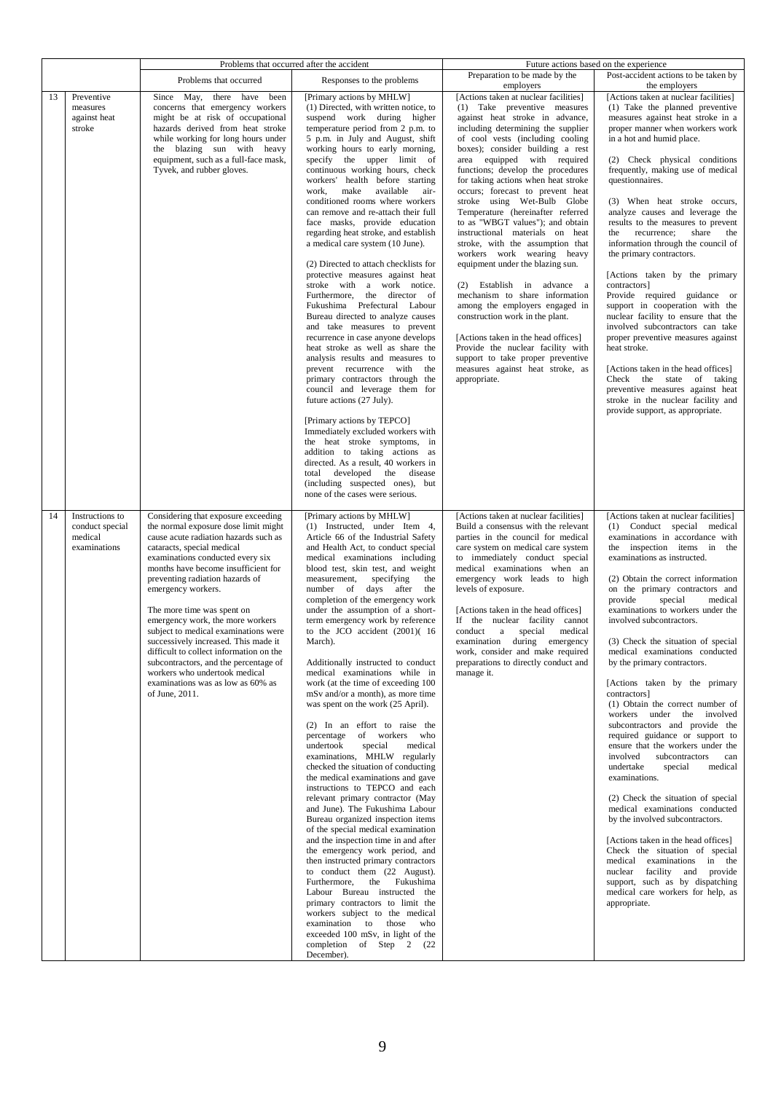|                                                                     |                                                                                                                                                                                                                                                                                                                                                                                                                                                                                                                                                                                                                      | Problems that occurred after the accident                                                                                                                                                                                                                                                                                                                                                                                                                                                                                                                                                                                                                                                                                                                                                                                                                                                                                                                                                                                                                                                                                                                                                                                                                                                                                                                                                                                                 |                                                                                                                                                                                                                                                                                                                                                                                                                                                                                                                                                                                                                                                                                                                                                                                                                                                                                                                                  | Future actions based on the experience                                                                                                                                                                                                                                                                                                                                                                                                                                                                                                                                                                                                                                                                                                                                                                                                                                                                                                                                                                                                                                                                                  |
|---------------------------------------------------------------------|----------------------------------------------------------------------------------------------------------------------------------------------------------------------------------------------------------------------------------------------------------------------------------------------------------------------------------------------------------------------------------------------------------------------------------------------------------------------------------------------------------------------------------------------------------------------------------------------------------------------|-------------------------------------------------------------------------------------------------------------------------------------------------------------------------------------------------------------------------------------------------------------------------------------------------------------------------------------------------------------------------------------------------------------------------------------------------------------------------------------------------------------------------------------------------------------------------------------------------------------------------------------------------------------------------------------------------------------------------------------------------------------------------------------------------------------------------------------------------------------------------------------------------------------------------------------------------------------------------------------------------------------------------------------------------------------------------------------------------------------------------------------------------------------------------------------------------------------------------------------------------------------------------------------------------------------------------------------------------------------------------------------------------------------------------------------------|----------------------------------------------------------------------------------------------------------------------------------------------------------------------------------------------------------------------------------------------------------------------------------------------------------------------------------------------------------------------------------------------------------------------------------------------------------------------------------------------------------------------------------------------------------------------------------------------------------------------------------------------------------------------------------------------------------------------------------------------------------------------------------------------------------------------------------------------------------------------------------------------------------------------------------|-------------------------------------------------------------------------------------------------------------------------------------------------------------------------------------------------------------------------------------------------------------------------------------------------------------------------------------------------------------------------------------------------------------------------------------------------------------------------------------------------------------------------------------------------------------------------------------------------------------------------------------------------------------------------------------------------------------------------------------------------------------------------------------------------------------------------------------------------------------------------------------------------------------------------------------------------------------------------------------------------------------------------------------------------------------------------------------------------------------------------|
|                                                                     | Problems that occurred                                                                                                                                                                                                                                                                                                                                                                                                                                                                                                                                                                                               | Responses to the problems                                                                                                                                                                                                                                                                                                                                                                                                                                                                                                                                                                                                                                                                                                                                                                                                                                                                                                                                                                                                                                                                                                                                                                                                                                                                                                                                                                                                                 | Preparation to be made by the<br>employers                                                                                                                                                                                                                                                                                                                                                                                                                                                                                                                                                                                                                                                                                                                                                                                                                                                                                       | Post-accident actions to be taken by<br>the employers                                                                                                                                                                                                                                                                                                                                                                                                                                                                                                                                                                                                                                                                                                                                                                                                                                                                                                                                                                                                                                                                   |
| 13<br>Preventive<br>measures<br>against heat<br>stroke              | Since May, there have been<br>concerns that emergency workers<br>might be at risk of occupational<br>hazards derived from heat stroke<br>while working for long hours under<br>the blazing sun with heavy<br>equipment, such as a full-face mask,<br>Tyvek, and rubber gloves.                                                                                                                                                                                                                                                                                                                                       | [Primary actions by MHLW]<br>(1) Directed, with written notice, to<br>suspend work during higher<br>temperature period from 2 p.m. to<br>5 p.m. in July and August, shift<br>working hours to early morning,<br>specify the upper limit of<br>continuous working hours, check<br>workers' health before starting<br>work, make available<br>air-<br>conditioned rooms where workers<br>can remove and re-attach their full<br>face masks, provide education<br>regarding heat stroke, and establish<br>a medical care system (10 June).<br>(2) Directed to attach checklists for<br>protective measures against heat<br>stroke with a work notice.<br>Furthermore, the director of<br>Fukushima Prefectural Labour<br>Bureau directed to analyze causes<br>and take measures to prevent<br>recurrence in case anyone develops<br>heat stroke as well as share the<br>analysis results and measures to<br>prevent recurrence with the<br>primary contractors through the<br>council and leverage them for<br>future actions (27 July).<br>[Primary actions by TEPCO]<br>Immediately excluded workers with<br>the heat stroke symptoms, in<br>addition to taking actions as<br>directed. As a result, 40 workers in<br>total developed the disease<br>(including suspected ones), but<br>none of the cases were serious.                                                                                                                    | [Actions taken at nuclear facilities]<br>(1) Take preventive measures<br>against heat stroke in advance,<br>including determining the supplier<br>of cool vests (including cooling<br>boxes); consider building a rest<br>area equipped with required<br>functions; develop the procedures<br>for taking actions when heat stroke<br>occurs; forecast to prevent heat<br>stroke using Wet-Bulb Globe<br>Temperature (hereinafter referred<br>to as "WBGT values"); and obtain<br>instructional materials on heat<br>stroke, with the assumption that<br>workers work wearing heavy<br>equipment under the blazing sun.<br>(2) Establish in advance a<br>mechanism to share information<br>among the employers engaged in<br>construction work in the plant.<br>[Actions taken in the head offices]<br>Provide the nuclear facility with<br>support to take proper preventive<br>measures against heat stroke, as<br>appropriate. | [Actions taken at nuclear facilities]<br>(1) Take the planned preventive<br>measures against heat stroke in a<br>proper manner when workers work<br>in a hot and humid place.<br>(2) Check physical conditions<br>frequently, making use of medical<br>questionnaires.<br>(3) When heat stroke occurs,<br>analyze causes and leverage the<br>results to the measures to prevent<br>the recurrence; share the<br>information through the council of<br>the primary contractors.<br>[Actions taken by the primary<br>contractors]<br>Provide required guidance or<br>support in cooperation with the<br>nuclear facility to ensure that the<br>involved subcontractors can take<br>proper preventive measures against<br>heat stroke.<br>[Actions taken in the head offices]<br>Check the state of taking<br>preventive measures against heat<br>stroke in the nuclear facility and<br>provide support, as appropriate.                                                                                                                                                                                                   |
| Instructions to<br>14<br>conduct special<br>medical<br>examinations | Considering that exposure exceeding<br>the normal exposure dose limit might<br>cause acute radiation hazards such as<br>cataracts, special medical<br>examinations conducted every six<br>months have become insufficient for<br>preventing radiation hazards of<br>emergency workers.<br>The more time was spent on<br>emergency work, the more workers<br>subject to medical examinations were<br>successively increased. This made it<br>difficult to collect information on the<br>subcontractors, and the percentage of<br>workers who undertook medical<br>examinations was as low as 60% as<br>of June, 2011. | [Primary actions by MHLW]<br>(1) Instructed, under Item 4,<br>Article 66 of the Industrial Safety<br>and Health Act, to conduct special<br>medical examinations including<br>blood test, skin test, and weight<br>measurement, specifying<br>the<br>number of days after the<br>completion of the emergency work<br>under the assumption of a short-<br>term emergency work by reference<br>to the JCO accident $(2001)(16)$<br>March).<br>Additionally instructed to conduct<br>medical examinations while in<br>work (at the time of exceeding 100<br>mSv and/or a month), as more time<br>was spent on the work (25 April).<br>(2) In an effort to raise the<br>of workers who<br>percentage<br>undertook<br>special<br>medical<br>examinations, MHLW regularly<br>checked the situation of conducting<br>the medical examinations and gave<br>instructions to TEPCO and each<br>relevant primary contractor (May<br>and June). The Fukushima Labour<br>Bureau organized inspection items<br>of the special medical examination<br>and the inspection time in and after<br>the emergency work period, and<br>then instructed primary contractors<br>to conduct them (22 August).<br>the Fukushima<br>Furthermore,<br>Labour Bureau instructed the<br>primary contractors to limit the<br>workers subject to the medical<br>examination to those<br>who<br>exceeded 100 mSv, in light of the<br>completion of Step 2 (22)<br>December). | [Actions taken at nuclear facilities]<br>Build a consensus with the relevant<br>parties in the council for medical<br>care system on medical care system<br>to immediately conduct special<br>medical examinations when an<br>emergency work leads to high<br>levels of exposure.<br>[Actions taken in the head offices]<br>If the nuclear facility cannot<br>conduct a special medical<br>examination during emergency<br>work, consider and make required<br>preparations to directly conduct and<br>manage it.                                                                                                                                                                                                                                                                                                                                                                                                                | [Actions taken at nuclear facilities]<br>(1) Conduct special medical<br>examinations in accordance with<br>the inspection items in the<br>examinations as instructed.<br>(2) Obtain the correct information<br>on the primary contractors and<br>provide<br>special<br>medical<br>examinations to workers under the<br>involved subcontractors.<br>(3) Check the situation of special<br>medical examinations conducted<br>by the primary contractors.<br>[Actions taken by the primary<br>contractors]<br>(1) Obtain the correct number of<br>workers under the involved<br>subcontractors and provide the<br>required guidance or support to<br>ensure that the workers under the<br>involved<br>subcontractors<br>can<br>undertake<br>special<br>medical<br>examinations.<br>(2) Check the situation of special<br>medical examinations conducted<br>by the involved subcontractors.<br>[Actions taken in the head offices]<br>Check the situation of special<br>medical examinations in the<br>nuclear facility and provide<br>support, such as by dispatching<br>medical care workers for help, as<br>appropriate. |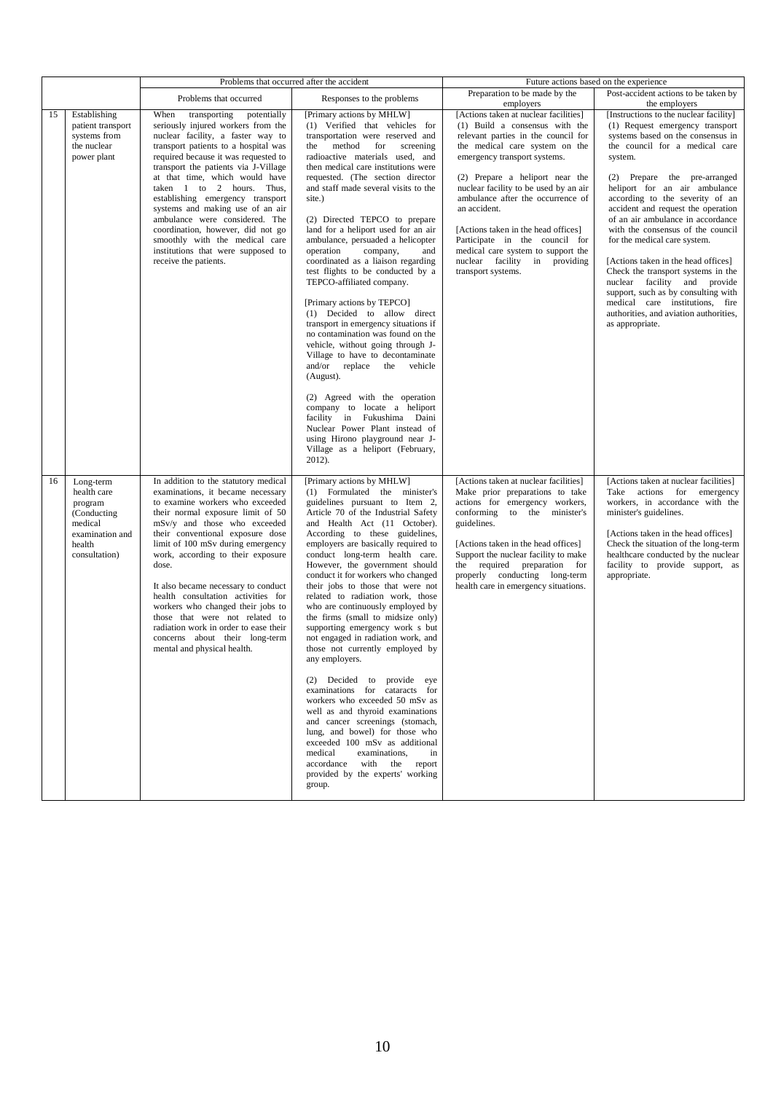|    |                                                                                                             | Problems that occurred after the accident                                                                                                                                                                                                                                                                                                                                                                                                                                                                                                                              |                                                                                                                                                                                                                                                                                                                                                                                                                                                                                                                                                                                                                                                                                                                                                                                                                                                                                                                                                                                                                                      | Future actions based on the experience                                                                                                                                                                                                                                                                                                                                                                                                                                                  |                                                                                                                                                                                                                                                                                                                                                                                                                                                                                                                                                                                                                                                                     |
|----|-------------------------------------------------------------------------------------------------------------|------------------------------------------------------------------------------------------------------------------------------------------------------------------------------------------------------------------------------------------------------------------------------------------------------------------------------------------------------------------------------------------------------------------------------------------------------------------------------------------------------------------------------------------------------------------------|--------------------------------------------------------------------------------------------------------------------------------------------------------------------------------------------------------------------------------------------------------------------------------------------------------------------------------------------------------------------------------------------------------------------------------------------------------------------------------------------------------------------------------------------------------------------------------------------------------------------------------------------------------------------------------------------------------------------------------------------------------------------------------------------------------------------------------------------------------------------------------------------------------------------------------------------------------------------------------------------------------------------------------------|-----------------------------------------------------------------------------------------------------------------------------------------------------------------------------------------------------------------------------------------------------------------------------------------------------------------------------------------------------------------------------------------------------------------------------------------------------------------------------------------|---------------------------------------------------------------------------------------------------------------------------------------------------------------------------------------------------------------------------------------------------------------------------------------------------------------------------------------------------------------------------------------------------------------------------------------------------------------------------------------------------------------------------------------------------------------------------------------------------------------------------------------------------------------------|
|    |                                                                                                             | Problems that occurred                                                                                                                                                                                                                                                                                                                                                                                                                                                                                                                                                 | Responses to the problems                                                                                                                                                                                                                                                                                                                                                                                                                                                                                                                                                                                                                                                                                                                                                                                                                                                                                                                                                                                                            | Preparation to be made by the<br>employers                                                                                                                                                                                                                                                                                                                                                                                                                                              | Post-accident actions to be taken by<br>the employers                                                                                                                                                                                                                                                                                                                                                                                                                                                                                                                                                                                                               |
| 15 | Establishing<br>patient transport<br>systems from<br>the nuclear<br>power plant                             | When<br>transporting<br>potentially<br>seriously injured workers from the<br>nuclear facility, a faster way to<br>transport patients to a hospital was<br>required because it was requested to<br>transport the patients via J-Village<br>at that time, which would have<br>taken 1 to 2 hours. Thus,<br>establishing emergency transport<br>systems and making use of an air<br>ambulance were considered. The<br>coordination, however, did not go<br>smoothly with the medical care<br>institutions that were supposed to<br>receive the patients.                  | [Primary actions by MHLW]<br>(1) Verified that vehicles for<br>transportation were reserved and<br>the method for screening<br>radioactive materials used, and<br>then medical care institutions were<br>requested. (The section director<br>and staff made several visits to the<br>site.)<br>(2) Directed TEPCO to prepare<br>land for a heliport used for an air<br>ambulance, persuaded a helicopter<br>operation<br>company,<br>and<br>coordinated as a liaison regarding<br>test flights to be conducted by a<br>TEPCO-affiliated company.<br>[Primary actions by TEPCO]<br>(1) Decided to allow direct<br>transport in emergency situations if<br>no contamination was found on the<br>vehicle, without going through J-<br>Village to have to decontaminate<br>and/or replace the vehicle<br>(August).<br>(2) Agreed with the operation<br>company to locate a heliport<br>facility in Fukushima Daini<br>Nuclear Power Plant instead of<br>using Hirono playground near J-<br>Village as a heliport (February,<br>$2012$ ). | [Actions taken at nuclear facilities]<br>(1) Build a consensus with the<br>relevant parties in the council for<br>the medical care system on the<br>emergency transport systems.<br>(2) Prepare a heliport near the<br>nuclear facility to be used by an air<br>ambulance after the occurrence of<br>an accident.<br>[Actions taken in the head offices]<br>Participate in the council for<br>medical care system to support the<br>nuclear facility in providing<br>transport systems. | [Instructions to the nuclear facility]<br>(1) Request emergency transport<br>systems based on the consensus in<br>the council for a medical care<br>system.<br>(2) Prepare the pre-arranged<br>heliport for an air ambulance<br>according to the severity of an<br>accident and request the operation<br>of an air ambulance in accordance<br>with the consensus of the council<br>for the medical care system.<br>[Actions taken in the head offices]<br>Check the transport systems in the<br>nuclear facility and provide<br>support, such as by consulting with<br>medical care institutions, fire<br>authorities, and aviation authorities,<br>as appropriate. |
| 16 | Long-term<br>health care<br>program<br>(Conducting<br>medical<br>examination and<br>health<br>consultation) | In addition to the statutory medical<br>examinations, it became necessary<br>to examine workers who exceeded<br>their normal exposure limit of 50<br>mSv/y and those who exceeded<br>their conventional exposure dose<br>limit of 100 mSv during emergency<br>work, according to their exposure<br>dose.<br>It also became necessary to conduct<br>health consultation activities for<br>workers who changed their jobs to<br>those that were not related to<br>radiation work in order to ease their<br>concerns about their long-term<br>mental and physical health. | [Primary actions by MHLW]<br>(1) Formulated the minister's<br>guidelines pursuant to Item 2,<br>Article 70 of the Industrial Safety<br>and Health Act (11 October).<br>According to these guidelines,<br>employers are basically required to<br>conduct long-term health care.<br>However, the government should<br>conduct it for workers who changed<br>their jobs to those that were not<br>related to radiation work, those<br>who are continuously employed by<br>the firms (small to midsize only)<br>supporting emergency work s but<br>not engaged in radiation work, and<br>those not currently employed by<br>any employers.<br>(2) Decided to provide eye<br>examinations for cataracts for<br>workers who exceeded 50 mSv as<br>well as and thyroid examinations<br>and cancer screenings (stomach,<br>lung, and bowel) for those who<br>exceeded 100 mSv as additional<br>medical<br>examinations,<br>in<br>accordance with the report<br>provided by the experts' working<br>group.                                    | [Actions taken at nuclear facilities]<br>Make prior preparations to take<br>actions for emergency workers,<br>conforming to the minister's<br>guidelines.<br>[Actions taken in the head offices]<br>Support the nuclear facility to make<br>the required preparation for<br>properly conducting long-term<br>health care in emergency situations.                                                                                                                                       | [Actions taken at nuclear facilities]<br>Take actions for emergency<br>workers, in accordance with the<br>minister's guidelines.<br>[Actions taken in the head offices]<br>Check the situation of the long-term<br>healthcare conducted by the nuclear<br>facility to provide support, as<br>appropriate.                                                                                                                                                                                                                                                                                                                                                           |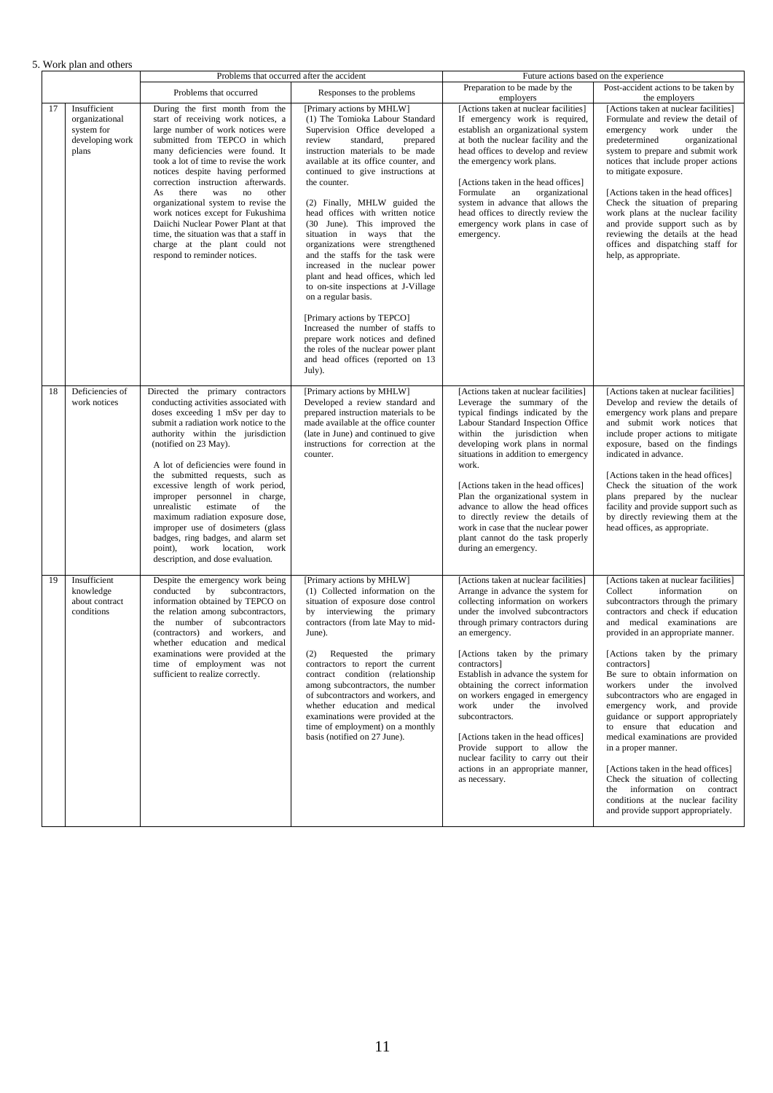|  |  |  |  | 5. Work plan and others |
|--|--|--|--|-------------------------|
|--|--|--|--|-------------------------|

| WOLK PIAIL AIRE OUTCLE |                                                                          | Problems that occurred after the accident                                                                                                                                                                                                                                                                                                                                                                                                                                                                                                                                                |                                                                                                                                                                                                                                                                                                                                                                                                                                                                                                                                                                                                                                                                                                                                                                                                               | Future actions based on the experience                                                                                                                                                                                                                                                                                                                                                                                                                                                                                                                                                                 |                                                                                                                                                                                                                                                                                                                                                                                                                                                                                                                                                                                                                                                                                                                                        |
|------------------------|--------------------------------------------------------------------------|------------------------------------------------------------------------------------------------------------------------------------------------------------------------------------------------------------------------------------------------------------------------------------------------------------------------------------------------------------------------------------------------------------------------------------------------------------------------------------------------------------------------------------------------------------------------------------------|---------------------------------------------------------------------------------------------------------------------------------------------------------------------------------------------------------------------------------------------------------------------------------------------------------------------------------------------------------------------------------------------------------------------------------------------------------------------------------------------------------------------------------------------------------------------------------------------------------------------------------------------------------------------------------------------------------------------------------------------------------------------------------------------------------------|--------------------------------------------------------------------------------------------------------------------------------------------------------------------------------------------------------------------------------------------------------------------------------------------------------------------------------------------------------------------------------------------------------------------------------------------------------------------------------------------------------------------------------------------------------------------------------------------------------|----------------------------------------------------------------------------------------------------------------------------------------------------------------------------------------------------------------------------------------------------------------------------------------------------------------------------------------------------------------------------------------------------------------------------------------------------------------------------------------------------------------------------------------------------------------------------------------------------------------------------------------------------------------------------------------------------------------------------------------|
|                        |                                                                          | Problems that occurred                                                                                                                                                                                                                                                                                                                                                                                                                                                                                                                                                                   | Responses to the problems                                                                                                                                                                                                                                                                                                                                                                                                                                                                                                                                                                                                                                                                                                                                                                                     | Preparation to be made by the<br>employers                                                                                                                                                                                                                                                                                                                                                                                                                                                                                                                                                             | Post-accident actions to be taken by<br>the employers                                                                                                                                                                                                                                                                                                                                                                                                                                                                                                                                                                                                                                                                                  |
| 17                     | Insufficient<br>organizational<br>system for<br>developing work<br>plans | During the first month from the<br>start of receiving work notices, a<br>large number of work notices were<br>submitted from TEPCO in which<br>many deficiencies were found. It<br>took a lot of time to revise the work<br>notices despite having performed<br>correction instruction afterwards.<br>As<br>there<br>was<br>no<br>other<br>organizational system to revise the<br>work notices except for Fukushima<br>Daiichi Nuclear Power Plant at that<br>time, the situation was that a staff in<br>charge at the plant could not<br>respond to reminder notices.                   | [Primary actions by MHLW]<br>(1) The Tomioka Labour Standard<br>Supervision Office developed a<br>review<br>standard,<br>prepared<br>instruction materials to be made<br>available at its office counter, and<br>continued to give instructions at<br>the counter.<br>(2) Finally, MHLW guided the<br>head offices with written notice<br>(30 June). This improved the<br>situation in ways that the<br>organizations were strengthened<br>and the staffs for the task were<br>increased in the nuclear power<br>plant and head offices, which led<br>to on-site inspections at J-Village<br>on a regular basis.<br>[Primary actions by TEPCO]<br>Increased the number of staffs to<br>prepare work notices and defined<br>the roles of the nuclear power plant<br>and head offices (reported on 13<br>July). | [Actions taken at nuclear facilities]<br>If emergency work is required,<br>establish an organizational system<br>at both the nuclear facility and the<br>head offices to develop and review<br>the emergency work plans.<br>[Actions taken in the head offices]<br>Formulate<br>an<br>organizational<br>system in advance that allows the<br>head offices to directly review the<br>emergency work plans in case of<br>emergency.                                                                                                                                                                      | [Actions taken at nuclear facilities]<br>Formulate and review the detail of<br>emergency work under the<br>predetermined<br>organizational<br>system to prepare and submit work<br>notices that include proper actions<br>to mitigate exposure.<br>[Actions taken in the head offices]<br>Check the situation of preparing<br>work plans at the nuclear facility<br>and provide support such as by<br>reviewing the details at the head<br>offices and dispatching staff for<br>help, as appropriate.                                                                                                                                                                                                                                  |
| 18                     | Deficiencies of<br>work notices                                          | Directed the primary contractors<br>conducting activities associated with<br>doses exceeding 1 mSv per day to<br>submit a radiation work notice to the<br>authority within the jurisdiction<br>(notified on 23 May).<br>A lot of deficiencies were found in<br>the submitted requests, such as<br>excessive length of work period,<br>improper personnel in charge,<br>unrealistic estimate of<br>the<br>maximum radiation exposure dose,<br>improper use of dosimeters (glass<br>badges, ring badges, and alarm set<br>point), work location, work<br>description, and dose evaluation. | [Primary actions by MHLW]<br>Developed a review standard and<br>prepared instruction materials to be<br>made available at the office counter<br>(late in June) and continued to give<br>instructions for correction at the<br>counter.                                                                                                                                                                                                                                                                                                                                                                                                                                                                                                                                                                        | [Actions taken at nuclear facilities]<br>Leverage the summary of the<br>typical findings indicated by the<br>Labour Standard Inspection Office<br>within the jurisdiction when<br>developing work plans in normal<br>situations in addition to emergency<br>work.<br>[Actions taken in the head offices]<br>Plan the organizational system in<br>advance to allow the head offices<br>to directly review the details of<br>work in case that the nuclear power<br>plant cannot do the task properly<br>during an emergency.                                                                            | [Actions taken at nuclear facilities]<br>Develop and review the details of<br>emergency work plans and prepare<br>and submit work notices that<br>include proper actions to mitigate<br>exposure, based on the findings<br>indicated in advance.<br>[Actions taken in the head offices]<br>Check the situation of the work<br>plans prepared by the nuclear<br>facility and provide support such as<br>by directly reviewing them at the<br>head offices, as appropriate.                                                                                                                                                                                                                                                              |
| 19                     | Insufficient<br>knowledge<br>about contract<br>conditions                | Despite the emergency work being<br>conducted<br>by<br>subcontractors,<br>information obtained by TEPCO on<br>the relation among subcontractors,<br>the number of subcontractors<br>(contractors) and workers, and<br>whether education and medical<br>examinations were provided at the<br>time of employment was not<br>sufficient to realize correctly.                                                                                                                                                                                                                               | [Primary actions by MHLW]<br>(1) Collected information on the<br>situation of exposure dose control<br>by interviewing the primary<br>contractors (from late May to mid-<br>June).<br>(2) Requested the primary<br>contractors to report the current<br>contract condition (relationship<br>among subcontractors, the number<br>of subcontractors and workers, and<br>whether education and medical<br>examinations were provided at the<br>time of employment) on a monthly<br>basis (notified on 27 June).                                                                                                                                                                                                                                                                                                  | [Actions taken at nuclear facilities]<br>Arrange in advance the system for<br>collecting information on workers<br>under the involved subcontractors<br>through primary contractors during<br>an emergency.<br>[Actions taken by the primary<br>contractors]<br>Establish in advance the system for<br>obtaining the correct information<br>on workers engaged in emergency<br>under<br>the<br>work<br>involved<br>subcontractors.<br>[Actions taken in the head offices]<br>Provide support to allow the<br>nuclear facility to carry out their<br>actions in an appropriate manner,<br>as necessary. | [Actions taken at nuclear facilities]<br>Collect<br>information<br>on<br>subcontractors through the primary<br>contractors and check if education<br>and medical examinations are<br>provided in an appropriate manner.<br>[Actions taken by the primary<br>contractors]<br>Be sure to obtain information on<br>workers under the involved<br>subcontractors who are engaged in<br>emergency work, and provide<br>guidance or support appropriately<br>to ensure that education and<br>medical examinations are provided<br>in a proper manner.<br>[Actions taken in the head offices]<br>Check the situation of collecting<br>the information on contract<br>conditions at the nuclear facility<br>and provide support appropriately. |